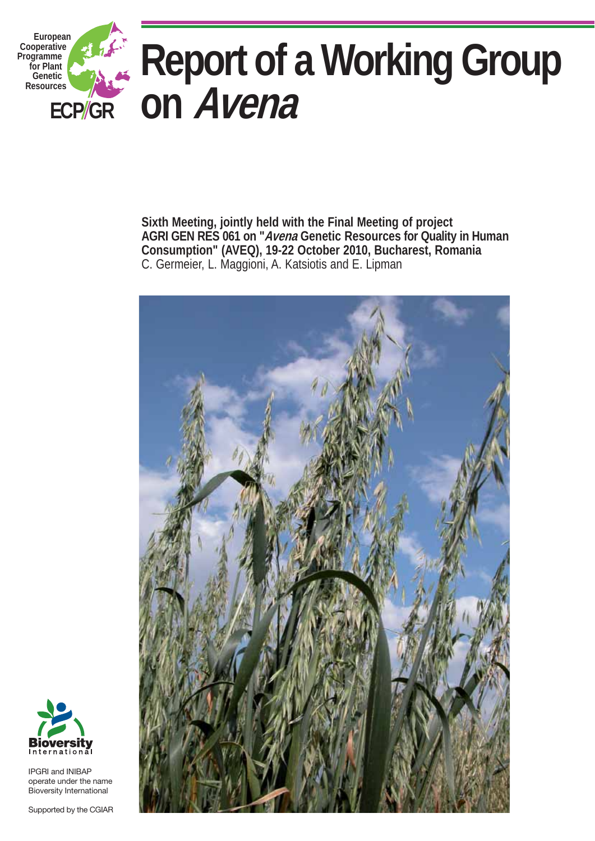

**Sixth Meeting, jointly held with the Final Meeting of project AGRI GEN RES 061 on "Avena Genetic Resources for Quality in Human Consumption" (AVEQ), 19-22 October 2010, Bucharest, Romania**  C. Germeier, L. Maggioni, A. Katsiotis and E. Lipman





IPGRI and INIBAP operate under the name Bioversity International

Supported by the CGIAR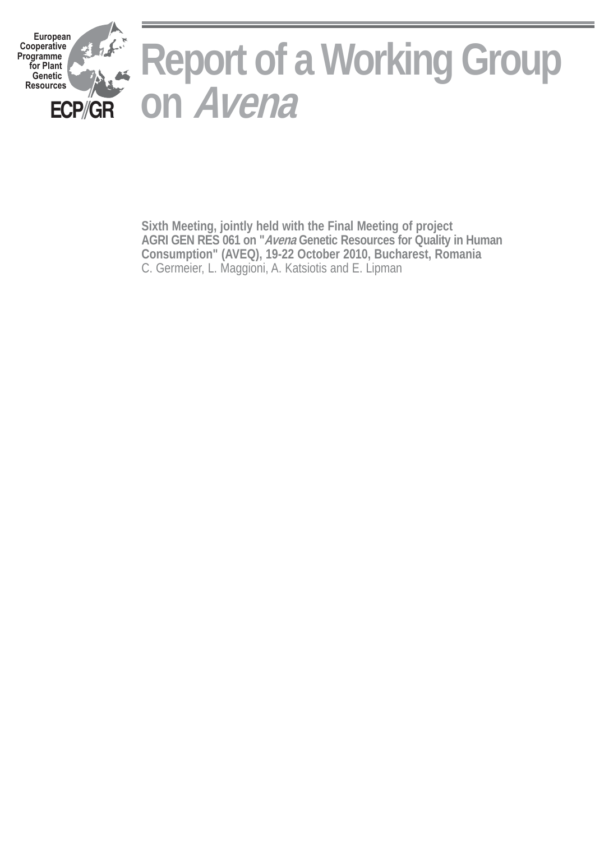

**Sixth Meeting, jointly held with the Final Meeting of project AGRI GEN RES 061 on "Avena Genetic Resources for Quality in Human Consumption" (AVEQ), 19-22 October 2010, Bucharest, Romania** C. Germeier, L. Maggioni, A. Katsiotis and E. Lipman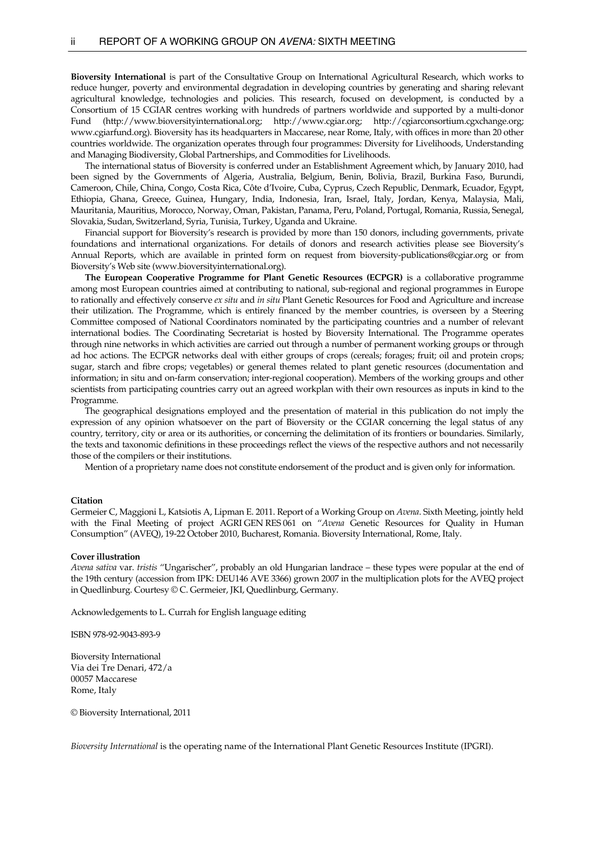**Bioversity International** is part of the Consultative Group on International Agricultural Research, which works to reduce hunger, poverty and environmental degradation in developing countries by generating and sharing relevant agricultural knowledge, technologies and policies. This research, focused on development, is conducted by a Consortium of 15 CGIAR centres working with hundreds of partners worldwide and supported by a multi-donor Fund [\(http://www.bioversityinternational.org](http://www.bioversityinternational.org/); http://[www.cgiar.org](http://www.cgiar.org/); [http://cgiarconsortium.cgxchange.org](http://cgiarconsortium.cgxchange.org/); [www.cgiarfund.org](http://www.cgiarfund.org/)). Bioversity has its headquarters in Maccarese, near Rome, Italy, with offices in more than 20 other countries worldwide. The organization operates through four programmes: Diversity for Livelihoods, Understanding and Managing Biodiversity, Global Partnerships, and Commodities for Livelihoods.

 The international status of Bioversity is conferred under an Establishment Agreement which, by January 2010, had been signed by the Governments of Algeria, Australia, Belgium, Benin, Bolivia, Brazil, Burkina Faso, Burundi, Cameroon, Chile, China, Congo, Costa Rica, Côte d'Ivoire, Cuba, Cyprus, Czech Republic, Denmark, Ecuador, Egypt, Ethiopia, Ghana, Greece, Guinea, Hungary, India, Indonesia, Iran, Israel, Italy, Jordan, Kenya, Malaysia, Mali, Mauritania, Mauritius, Morocco, Norway, Oman, Pakistan, Panama, Peru, Poland, Portugal, Romania, Russia, Senegal, Slovakia, Sudan, Switzerland, Syria, Tunisia, Turkey, Uganda and Ukraine.

 Financial support for Bioversity's research is provided by more than 150 donors, including governments, private foundations and international organizations. For details of donors and research activities please see Bioversity's Annual Reports, which are available in printed form on request from bioversity-publications@cgiar.org or from Bioversity's Web site (www.bioversityinternational.org).

**The European Cooperative Programme for Plant Genetic Resources (ECPGR)** is a collaborative programme among most European countries aimed at contributing to national, sub-regional and regional programmes in Europe to rationally and effectively conserve *ex situ* and *in situ* Plant Genetic Resources for Food and Agriculture and increase their utilization. The Programme, which is entirely financed by the member countries, is overseen by a Steering Committee composed of National Coordinators nominated by the participating countries and a number of relevant international bodies. The Coordinating Secretariat is hosted by Bioversity International. The Programme operates through nine networks in which activities are carried out through a number of permanent working groups or through ad hoc actions. The ECPGR networks deal with either groups of crops (cereals; forages; fruit; oil and protein crops; sugar, starch and fibre crops; vegetables) or general themes related to plant genetic resources (documentation and information; in situ and on-farm conservation; inter-regional cooperation). Members of the working groups and other scientists from participating countries carry out an agreed workplan with their own resources as inputs in kind to the Programme.

 The geographical designations employed and the presentation of material in this publication do not imply the expression of any opinion whatsoever on the part of Bioversity or the CGIAR concerning the legal status of any country, territory, city or area or its authorities, or concerning the delimitation of its frontiers or boundaries. Similarly, the texts and taxonomic definitions in these proceedings reflect the views of the respective authors and not necessarily those of the compilers or their institutions.

Mention of a proprietary name does not constitute endorsement of the product and is given only for information.

#### **Citation**

Germeier C, Maggioni L, Katsiotis A, Lipman E. 2011. Report of a Working Group on *Avena*. Sixth Meeting, jointly held with the Final Meeting of project AGRI GEN RES 061 on "*Avena* Genetic Resources for Quality in Human Consumption" (AVEQ), 19-22 October 2010, Bucharest, Romania. Bioversity International, Rome, Italy.

#### **Cover illustration**

*Avena sativa* var. *tristis* "Ungarischer", probably an old Hungarian landrace – these types were popular at the end of the 19th century (accession from IPK: DEU146 AVE 3366) grown 2007 in the multiplication plots for the AVEQ project in Quedlinburg. Courtesy © C. Germeier, JKI, Quedlinburg, Germany.

Acknowledgements to L. Currah for English language editing

ISBN 978-92-9043-893-9

Bioversity International Via dei Tre Denari, 472/a 00057 Maccarese Rome, Italy

© Bioversity International, 2011

*Bioversity International* is the operating name of the International Plant Genetic Resources Institute (IPGRI).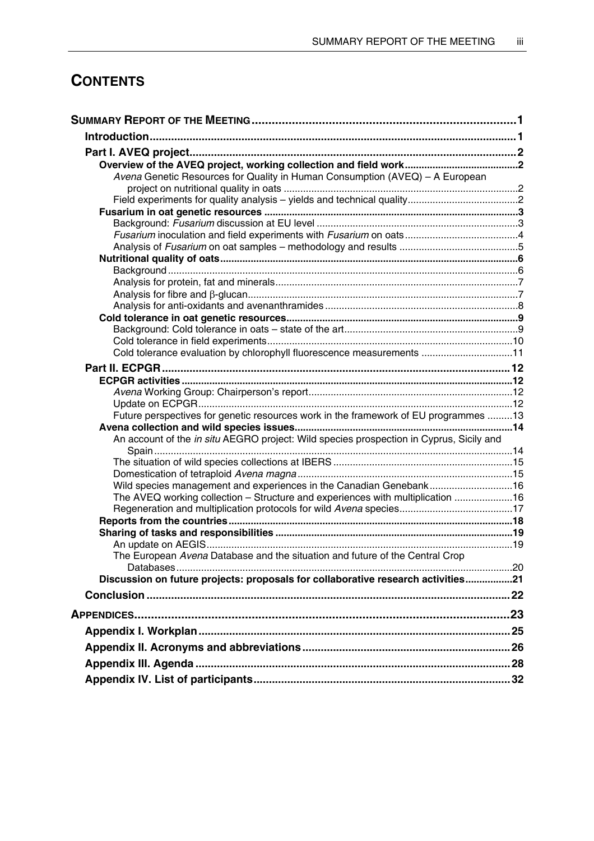# **CONTENTS**

| Avena Genetic Resources for Quality in Human Consumption (AVEQ) - A European            |  |
|-----------------------------------------------------------------------------------------|--|
|                                                                                         |  |
|                                                                                         |  |
|                                                                                         |  |
|                                                                                         |  |
|                                                                                         |  |
|                                                                                         |  |
|                                                                                         |  |
|                                                                                         |  |
|                                                                                         |  |
|                                                                                         |  |
|                                                                                         |  |
|                                                                                         |  |
|                                                                                         |  |
| Cold tolerance evaluation by chlorophyll fluorescence measurements 11                   |  |
|                                                                                         |  |
|                                                                                         |  |
|                                                                                         |  |
|                                                                                         |  |
| Future perspectives for genetic resources work in the framework of EU programmes 13     |  |
|                                                                                         |  |
| An account of the in situ AEGRO project: Wild species prospection in Cyprus, Sicily and |  |
|                                                                                         |  |
|                                                                                         |  |
| Wild species management and experiences in the Canadian Genebank16                      |  |
| The AVEQ working collection - Structure and experiences with multiplication  16         |  |
|                                                                                         |  |
|                                                                                         |  |
|                                                                                         |  |
|                                                                                         |  |
| The European Avena Database and the situation and future of the Central Crop            |  |
| Discussion on future projects: proposals for collaborative research activities21        |  |
|                                                                                         |  |
|                                                                                         |  |
|                                                                                         |  |
|                                                                                         |  |
|                                                                                         |  |
|                                                                                         |  |
|                                                                                         |  |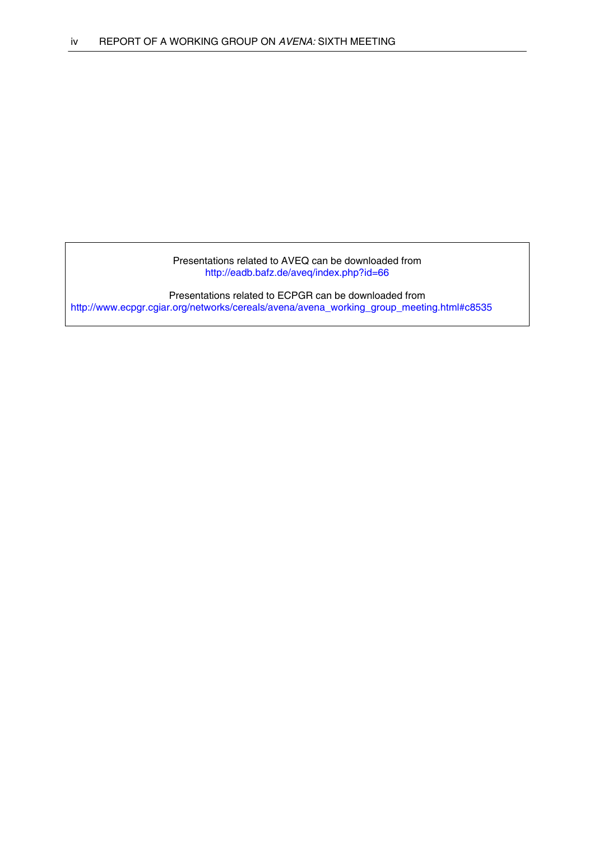Presentations related to AVEQ can be downloaded from <http://eadb.bafz.de/aveq/index.php?id=66>

Presentations related to ECPGR can be downloaded from http://www.ecpgr.cgiar.org/networks/cereals/avena/avena\_working\_group\_meeting.html#c8535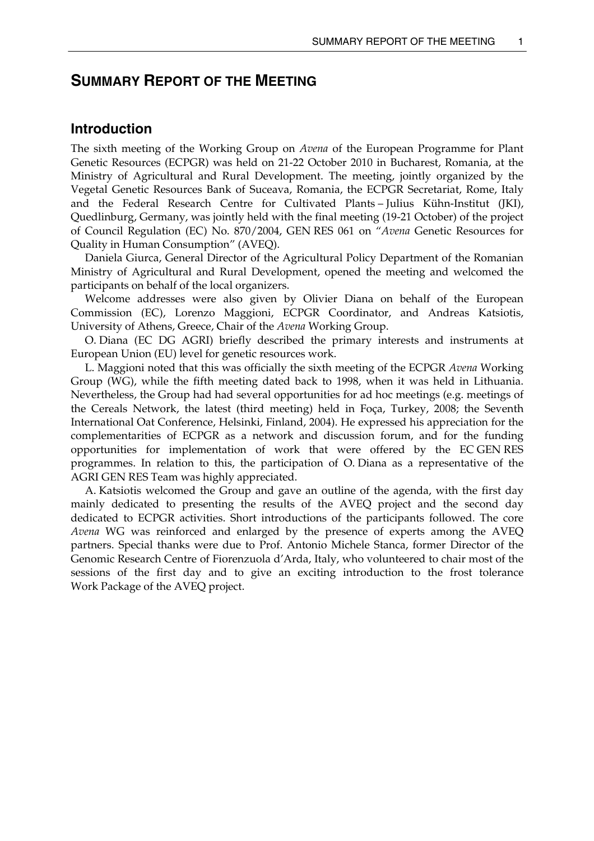# <span id="page-6-0"></span>**SUMMARY REPORT OF THE MEETING**

## **Introduction**

The sixth meeting of the Working Group on *Avena* of the European Programme for Plant Genetic Resources (ECPGR) was held on 21-22 October 2010 in Bucharest, Romania, at the Ministry of Agricultural and Rural Development. The meeting, jointly organized by the Vegetal Genetic Resources Bank of Suceava, Romania, the ECPGR Secretariat, Rome, Italy and the Federal Research Centre for Cultivated Plants – Julius Kühn-Institut (JKI), Quedlinburg, Germany, was jointly held with the final meeting (19-21 October) of the project of Council Regulation (EC) No. 870/2004, GEN RES 061 on "*Avena* Genetic Resources for Quality in Human Consumption" (AVEQ).

 Daniela Giurca, General Director of the Agricultural Policy Department of the Romanian Ministry of Agricultural and Rural Development, opened the meeting and welcomed the participants on behalf of the local organizers.

 Welcome addresses were also given by Olivier Diana on behalf of the European Commission (EC), Lorenzo Maggioni, ECPGR Coordinator, and Andreas Katsiotis, University of Athens, Greece, Chair of the *Avena* Working Group.

 O. Diana (EC DG AGRI) briefly described the primary interests and instruments at European Union (EU) level for genetic resources work.

 L. Maggioni noted that this was officially the sixth meeting of the ECPGR *Avena* Working Group (WG), while the fifth meeting dated back to 1998, when it was held in Lithuania. Nevertheless, the Group had had several opportunities for ad hoc meetings (e.g. meetings of the Cereals Network, the latest (third meeting) held in Foça, Turkey, 2008; the Seventh International Oat Conference, Helsinki, Finland, 2004). He expressed his appreciation for the complementarities of ECPGR as a network and discussion forum, and for the funding opportunities for implementation of work that were offered by the EC GEN RES programmes. In relation to this, the participation of O. Diana as a representative of the AGRI GEN RES Team was highly appreciated.

 A. Katsiotis welcomed the Group and gave an outline of the agenda, with the first day mainly dedicated to presenting the results of the AVEQ project and the second day dedicated to ECPGR activities. Short introductions of the participants followed. The core *Avena* WG was reinforced and enlarged by the presence of experts among the AVEQ partners. Special thanks were due to Prof. Antonio Michele Stanca, former Director of the Genomic Research Centre of Fiorenzuola d'Arda, Italy, who volunteered to chair most of the sessions of the first day and to give an exciting introduction to the frost tolerance Work Package of the AVEQ project.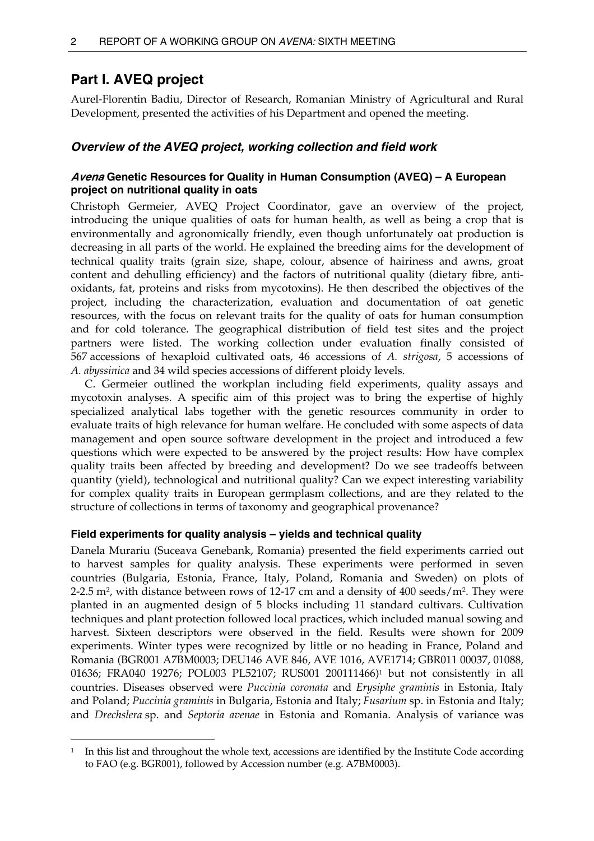# <span id="page-7-0"></span>**Part I. AVEQ project**

 $\overline{a}$ 

Aurel-Florentin Badiu, Director of Research, Romanian Ministry of Agricultural and Rural Development, presented the activities of his Department and opened the meeting.

## *Overview of the AVEQ project, working collection and field work*

## **Avena Genetic Resources for Quality in Human Consumption (AVEQ) – A European project on nutritional quality in oats**

Christoph Germeier, AVEQ Project Coordinator, gave an overview of the project, introducing the unique qualities of oats for human health, as well as being a crop that is environmentally and agronomically friendly, even though unfortunately oat production is decreasing in all parts of the world. He explained the breeding aims for the development of technical quality traits (grain size, shape, colour, absence of hairiness and awns, groat content and dehulling efficiency) and the factors of nutritional quality (dietary fibre, antioxidants, fat, proteins and risks from mycotoxins). He then described the objectives of the project, including the characterization, evaluation and documentation of oat genetic resources, with the focus on relevant traits for the quality of oats for human consumption and for cold tolerance. The geographical distribution of field test sites and the project partners were listed. The working collection under evaluation finally consisted of 567 accessions of hexaploid cultivated oats, 46 accessions of *A. strigosa*, 5 accessions of *A. abyssinica* and 34 wild species accessions of different ploidy levels.

 C. Germeier outlined the workplan including field experiments, quality assays and mycotoxin analyses. A specific aim of this project was to bring the expertise of highly specialized analytical labs together with the genetic resources community in order to evaluate traits of high relevance for human welfare. He concluded with some aspects of data management and open source software development in the project and introduced a few questions which were expected to be answered by the project results: How have complex quality traits been affected by breeding and development? Do we see tradeoffs between quantity (yield), technological and nutritional quality? Can we expect interesting variability for complex quality traits in European germplasm collections, and are they related to the structure of collections in terms of taxonomy and geographical provenance?

## **Field experiments for quality analysis – yields and technical quality**

Danela Murariu (Suceava Genebank, Romania) presented the field experiments carried out to harvest samples for quality analysis. These experiments were performed in seven countries (Bulgaria, Estonia, France, Italy, Poland, Romania and Sweden) on plots of 2-2.5 m2, with distance between rows of 12-17 cm and a density of 400 seeds/m2. They were planted in an augmented design of 5 blocks including 11 standard cultivars. Cultivation techniques and plant protection followed local practices, which included manual sowing and harvest. Sixteen descriptors were observed in the field. Results were shown for 2009 experiments. Winter types were recognized by little or no heading in France, Poland and Romania (BGR001 A7BM0003; DEU146 AVE 846, AVE 1016, AVE1714; GBR011 00037, 01088, 01636; FRA040 19276; POL003 PL52107; RUS00[1](#page-7-1) 200111466)<sup>1</sup> but not consistently in all countries. Diseases observed were *Puccinia coronata* and *Erysiphe graminis* in Estonia, Italy and Poland; *Puccinia graminis* in Bulgaria, Estonia and Italy; *Fusarium* sp. in Estonia and Italy; and *Drechslera* sp. and *Septoria avenae* in Estonia and Romania. Analysis of variance was

<span id="page-7-1"></span><sup>1</sup> In this list and throughout the whole text, accessions are identified by the Institute Code according to FAO (e.g. BGR001), followed by Accession number (e.g. A7BM0003).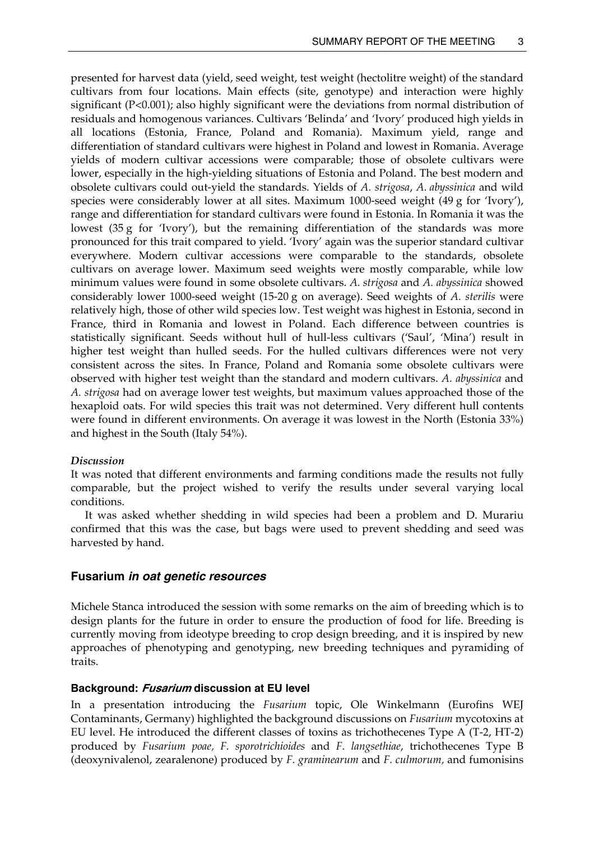<span id="page-8-0"></span>presented for harvest data (yield, seed weight, test weight (hectolitre weight) of the standard cultivars from four locations. Main effects (site, genotype) and interaction were highly significant (P<0.001); also highly significant were the deviations from normal distribution of residuals and homogenous variances. Cultivars 'Belinda' and 'Ivory' produced high yields in all locations (Estonia, France, Poland and Romania). Maximum yield, range and differentiation of standard cultivars were highest in Poland and lowest in Romania. Average yields of modern cultivar accessions were comparable; those of obsolete cultivars were lower, especially in the high-yielding situations of Estonia and Poland. The best modern and obsolete cultivars could out-yield the standards. Yields of *A. strigosa*, *A. abyssinica* and wild species were considerably lower at all sites. Maximum 1000-seed weight (49 g for 'Ivory'), range and differentiation for standard cultivars were found in Estonia. In Romania it was the lowest (35 g for 'Ivory'), but the remaining differentiation of the standards was more pronounced for this trait compared to yield. 'Ivory' again was the superior standard cultivar everywhere. Modern cultivar accessions were comparable to the standards, obsolete cultivars on average lower. Maximum seed weights were mostly comparable, while low minimum values were found in some obsolete cultivars. *A. strigosa* and *A. abyssinica* showed considerably lower 1000-seed weight (15-20 g on average). Seed weights of *A. sterilis* were relatively high, those of other wild species low. Test weight was highest in Estonia, second in France, third in Romania and lowest in Poland. Each difference between countries is statistically significant. Seeds without hull of hull-less cultivars ('Saul', 'Mina') result in higher test weight than hulled seeds. For the hulled cultivars differences were not very consistent across the sites. In France, Poland and Romania some obsolete cultivars were observed with higher test weight than the standard and modern cultivars. *A. abyssinica* and *A. strigosa* had on average lower test weights, but maximum values approached those of the hexaploid oats. For wild species this trait was not determined. Very different hull contents were found in different environments. On average it was lowest in the North (Estonia 33%) and highest in the South (Italy 54%).

#### *Discussion*

It was noted that different environments and farming conditions made the results not fully comparable, but the project wished to verify the results under several varying local conditions.

 It was asked whether shedding in wild species had been a problem and D. Murariu confirmed that this was the case, but bags were used to prevent shedding and seed was harvested by hand.

## **Fusarium** *in oat genetic resources*

Michele Stanca introduced the session with some remarks on the aim of breeding which is to design plants for the future in order to ensure the production of food for life. Breeding is currently moving from ideotype breeding to crop design breeding, and it is inspired by new approaches of phenotyping and genotyping, new breeding techniques and pyramiding of traits.

#### **Background: Fusarium discussion at EU level**

In a presentation introducing the *Fusarium* topic, Ole Winkelmann (Eurofins WEJ Contaminants, Germany) highlighted the background discussions on *Fusarium* mycotoxins at EU level. He introduced the different classes of toxins as trichothecenes Type A (T-2, HT-2) produced by *Fusarium poae, F. sporotrichioides* and *F. langsethiae*, trichothecenes Type B (deoxynivalenol, zearalenone) produced by *F. graminearum* and *F. culmorum,* and fumonisins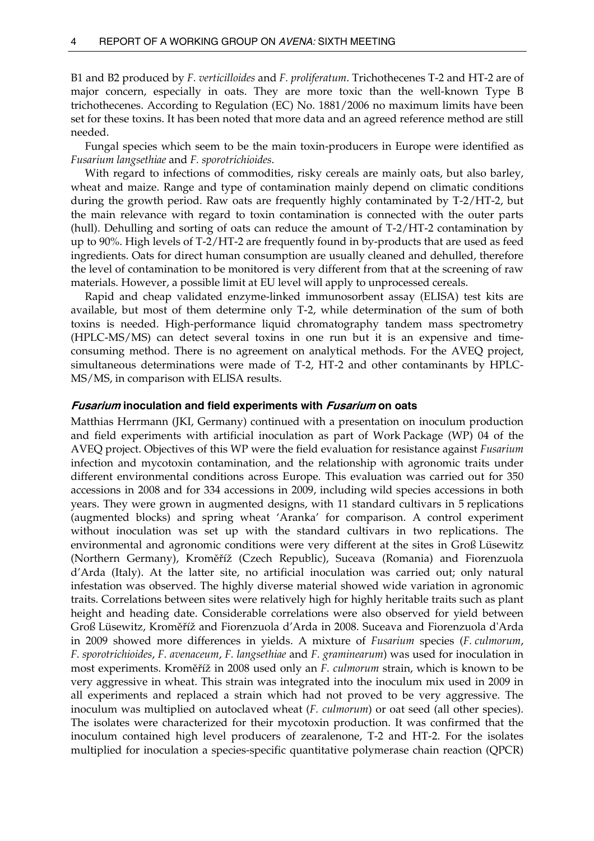<span id="page-9-0"></span>B1 and B2 produced by *F. verticilloides* and *F. proliferatum*. Trichothecenes T-2 and HT-2 are of major concern, especially in oats. They are more toxic than the well-known Type B trichothecenes. According to Regulation (EC) No. 1881/2006 no maximum limits have been set for these toxins. It has been noted that more data and an agreed reference method are still needed.

 Fungal species which seem to be the main toxin-producers in Europe were identified as *Fusarium langsethiae* and *F. sporotrichioides*.

 With regard to infections of commodities, risky cereals are mainly oats, but also barley, wheat and maize. Range and type of contamination mainly depend on climatic conditions during the growth period. Raw oats are frequently highly contaminated by T-2/HT-2, but the main relevance with regard to toxin contamination is connected with the outer parts (hull). Dehulling and sorting of oats can reduce the amount of T-2/HT-2 contamination by up to 90%. High levels of T-2/HT-2 are frequently found in by-products that are used as feed ingredients. Oats for direct human consumption are usually cleaned and dehulled, therefore the level of contamination to be monitored is very different from that at the screening of raw materials. However, a possible limit at EU level will apply to unprocessed cereals.

 Rapid and cheap validated enzyme-linked immunosorbent assay (ELISA) test kits are available, but most of them determine only T-2, while determination of the sum of both toxins is needed. High-performance liquid chromatography tandem mass spectrometry (HPLC-MS/MS) can detect several toxins in one run but it is an expensive and timeconsuming method. There is no agreement on analytical methods. For the AVEQ project, simultaneous determinations were made of T-2, HT-2 and other contaminants by HPLC-MS/MS, in comparison with ELISA results.

#### **Fusarium inoculation and field experiments with Fusarium on oats**

Matthias Herrmann (JKI, Germany) continued with a presentation on inoculum production and field experiments with artificial inoculation as part of Work Package (WP) 04 of the AVEQ project. Objectives of this WP were the field evaluation for resistance against *Fusarium* infection and mycotoxin contamination, and the relationship with agronomic traits under different environmental conditions across Europe. This evaluation was carried out for 350 accessions in 2008 and for 334 accessions in 2009, including wild species accessions in both years. They were grown in augmented designs, with 11 standard cultivars in 5 replications (augmented blocks) and spring wheat 'Aranka' for comparison. A control experiment without inoculation was set up with the standard cultivars in two replications. The environmental and agronomic conditions were very different at the sites in Groß Lüsewitz (Northern Germany), Kroměříž (Czech Republic), Suceava (Romania) and Fiorenzuola d'Arda (Italy). At the latter site, no artificial inoculation was carried out; only natural infestation was observed. The highly diverse material showed wide variation in agronomic traits. Correlations between sites were relatively high for highly heritable traits such as plant height and heading date. Considerable correlations were also observed for yield between Groß Lüsewitz, Kroměříž and Fiorenzuola d'Arda in 2008. Suceava and Fiorenzuola d'Arda in 2009 showed more differences in yields. A mixture of *Fusarium* species (*F. culmorum*, *F. sporotrichioides*, *F. avenaceum*, *F. langsethiae* and *F. graminearum*) was used for inoculation in most experiments. Kroměříž in 2008 used only an *F. culmorum* strain, which is known to be very aggressive in wheat. This strain was integrated into the inoculum mix used in 2009 in all experiments and replaced a strain which had not proved to be very aggressive. The inoculum was multiplied on autoclaved wheat (*F. culmorum*) or oat seed (all other species). The isolates were characterized for their mycotoxin production. It was confirmed that the inoculum contained high level producers of zearalenone, T-2 and HT-2. For the isolates multiplied for inoculation a species-specific quantitative polymerase chain reaction (QPCR)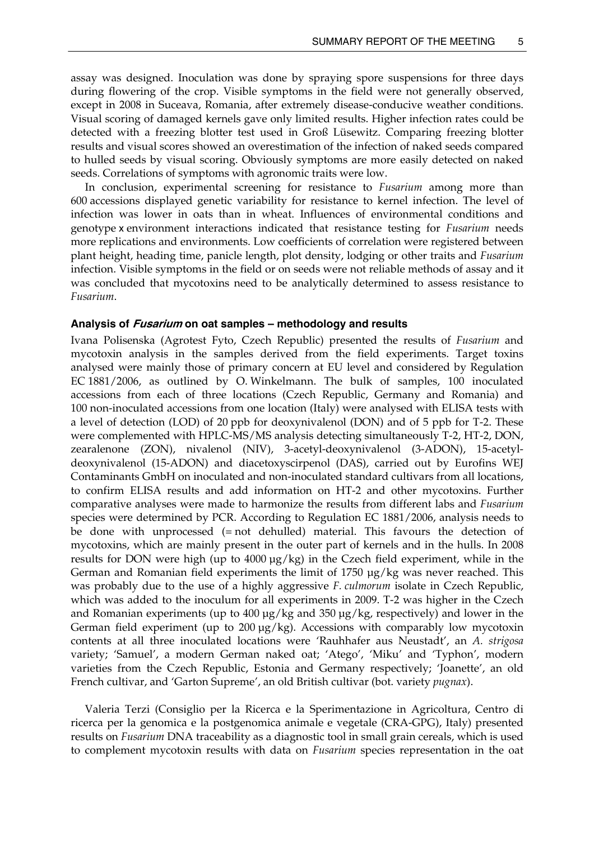<span id="page-10-0"></span>assay was designed. Inoculation was done by spraying spore suspensions for three days during flowering of the crop. Visible symptoms in the field were not generally observed, except in 2008 in Suceava, Romania, after extremely disease-conducive weather conditions. Visual scoring of damaged kernels gave only limited results. Higher infection rates could be detected with a freezing blotter test used in Groß Lüsewitz. Comparing freezing blotter results and visual scores showed an overestimation of the infection of naked seeds compared to hulled seeds by visual scoring. Obviously symptoms are more easily detected on naked seeds. Correlations of symptoms with agronomic traits were low.

 In conclusion, experimental screening for resistance to *Fusarium* among more than 600 accessions displayed genetic variability for resistance to kernel infection. The level of infection was lower in oats than in wheat. Influences of environmental conditions and genotype x environment interactions indicated that resistance testing for *Fusarium* needs more replications and environments. Low coefficients of correlation were registered between plant height, heading time, panicle length, plot density, lodging or other traits and *Fusarium* infection. Visible symptoms in the field or on seeds were not reliable methods of assay and it was concluded that mycotoxins need to be analytically determined to assess resistance to *Fusarium*.

#### **Analysis of Fusarium on oat samples – methodology and results**

Ivana Polisenska (Agrotest Fyto, Czech Republic) presented the results of *Fusarium* and mycotoxin analysis in the samples derived from the field experiments. Target toxins analysed were mainly those of primary concern at EU level and considered by Regulation EC 1881/2006, as outlined by O. Winkelmann. The bulk of samples, 100 inoculated accessions from each of three locations (Czech Republic, Germany and Romania) and 100 non-inoculated accessions from one location (Italy) were analysed with ELISA tests with a level of detection (LOD) of 20 ppb for deoxynivalenol (DON) and of 5 ppb for T-2. These were complemented with HPLC-MS/MS analysis detecting simultaneously T-2, HT-2, DON, zearalenone (ZON), nivalenol (NIV), 3-acetyl-deoxynivalenol (3-ADON), 15-acetyldeoxynivalenol (15-ADON) and diacetoxyscirpenol (DAS), carried out by Eurofins WEJ Contaminants GmbH on inoculated and non-inoculated standard cultivars from all locations, to confirm ELISA results and add information on HT-2 and other mycotoxins. Further comparative analyses were made to harmonize the results from different labs and *Fusarium* species were determined by PCR. According to Regulation EC 1881/2006, analysis needs to be done with unprocessed (= not dehulled) material. This favours the detection of mycotoxins, which are mainly present in the outer part of kernels and in the hulls. In 2008 results for DON were high (up to 4000 µg/kg) in the Czech field experiment, while in the German and Romanian field experiments the limit of 1750 µg/kg was never reached. This was probably due to the use of a highly aggressive *F. culmorum* isolate in Czech Republic, which was added to the inoculum for all experiments in 2009. T-2 was higher in the Czech and Romanian experiments (up to  $400 \mu g/kg$  and  $350 \mu g/kg$ , respectively) and lower in the German field experiment (up to  $200 \mu g/kg$ ). Accessions with comparably low mycotoxin contents at all three inoculated locations were 'Rauhhafer aus Neustadt', an *A. strigosa* variety; 'Samuel', a modern German naked oat; 'Atego', 'Miku' and 'Typhon', modern varieties from the Czech Republic, Estonia and Germany respectively; 'Joanette', an old French cultivar, and 'Garton Supreme', an old British cultivar (bot. variety *pugnax*).

 Valeria Terzi (Consiglio per la Ricerca e la Sperimentazione in Agricoltura, Centro di ricerca per la genomica e la postgenomica animale e vegetale (CRA-GPG), Italy) presented results on *Fusarium* DNA traceability as a diagnostic tool in small grain cereals, which is used to complement mycotoxin results with data on *Fusarium* species representation in the oat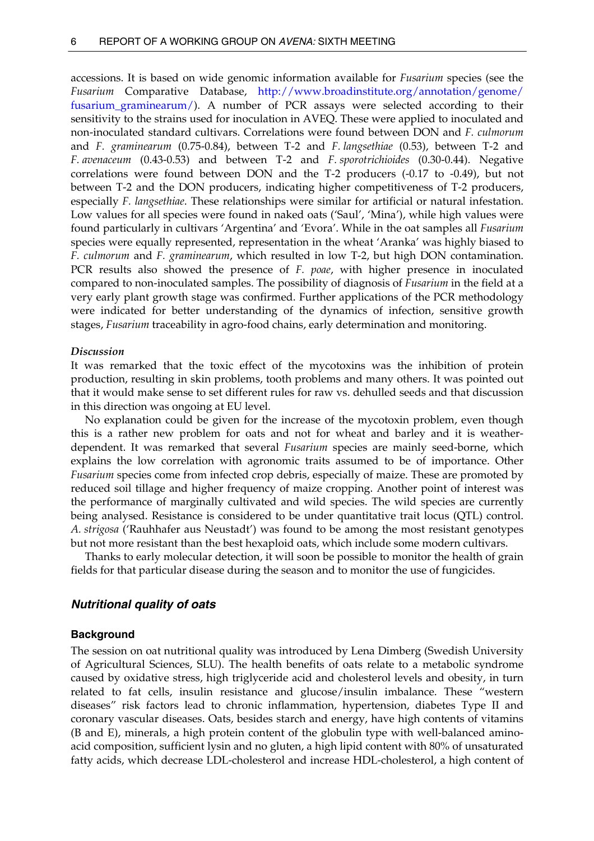<span id="page-11-0"></span>accessions. It is based on wide genomic information available for *Fusarium* species (see the *Fusarium* Comparative Database, [http://www.broadinstitute.org/annotation/genome/](http://www.broadinstitute.org/annotation/genome/fusarium_graminearum/)  fusarium graminearum/). A number of PCR assays were selected according to their sensitivity to the strains used for inoculation in AVEQ. These were applied to inoculated and non-inoculated standard cultivars. Correlations were found between DON and *F. culmorum*  and *F. graminearum* (0.75-0.84), between T-2 and *F. langsethiae* (0.53), between T-2 and *F. avenaceum* (0.43-0.53) and between T-2 and *F. sporotrichioides* (0.30-0.44). Negative correlations were found between DON and the T-2 producers (-0.17 to -0.49), but not between T-2 and the DON producers, indicating higher competitiveness of T-2 producers, especially *F. langsethiae*. These relationships were similar for artificial or natural infestation. Low values for all species were found in naked oats ('Saul', 'Mina'), while high values were found particularly in cultivars 'Argentina' and 'Evora'. While in the oat samples all *Fusarium* species were equally represented, representation in the wheat 'Aranka' was highly biased to *F. culmorum* and *F. graminearum*, which resulted in low T-2, but high DON contamination. PCR results also showed the presence of *F. poae*, with higher presence in inoculated compared to non-inoculated samples. The possibility of diagnosis of *Fusarium* in the field at a very early plant growth stage was confirmed. Further applications of the PCR methodology were indicated for better understanding of the dynamics of infection, sensitive growth stages, *Fusarium* traceability in agro-food chains, early determination and monitoring.

#### *Discussion*

It was remarked that the toxic effect of the mycotoxins was the inhibition of protein production, resulting in skin problems, tooth problems and many others. It was pointed out that it would make sense to set different rules for raw vs. dehulled seeds and that discussion in this direction was ongoing at EU level.

 No explanation could be given for the increase of the mycotoxin problem, even though this is a rather new problem for oats and not for wheat and barley and it is weatherdependent. It was remarked that several *Fusarium* species are mainly seed-borne, which explains the low correlation with agronomic traits assumed to be of importance. Other *Fusarium* species come from infected crop debris, especially of maize. These are promoted by reduced soil tillage and higher frequency of maize cropping. Another point of interest was the performance of marginally cultivated and wild species. The wild species are currently being analysed. Resistance is considered to be under quantitative trait locus (QTL) control. *A. strigosa* ('Rauhhafer aus Neustadt') was found to be among the most resistant genotypes but not more resistant than the best hexaploid oats, which include some modern cultivars.

 Thanks to early molecular detection, it will soon be possible to monitor the health of grain fields for that particular disease during the season and to monitor the use of fungicides.

#### *Nutritional quality of oats*

#### **Background**

The session on oat nutritional quality was introduced by Lena Dimberg (Swedish University of Agricultural Sciences, SLU). The health benefits of oats relate to a metabolic syndrome caused by oxidative stress, high triglyceride acid and cholesterol levels and obesity, in turn related to fat cells, insulin resistance and glucose/insulin imbalance. These "western diseases" risk factors lead to chronic inflammation, hypertension, diabetes Type II and coronary vascular diseases. Oats, besides starch and energy, have high contents of vitamins (B and E), minerals, a high protein content of the globulin type with well-balanced aminoacid composition, sufficient lysin and no gluten, a high lipid content with 80% of unsaturated fatty acids, which decrease LDL-cholesterol and increase HDL-cholesterol, a high content of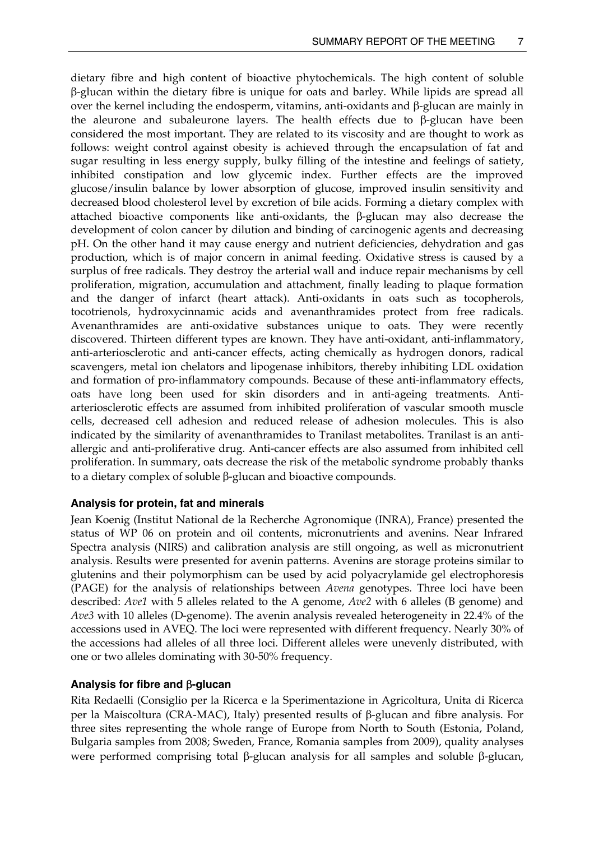<span id="page-12-0"></span>dietary fibre and high content of bioactive phytochemicals. The high content of soluble β-glucan within the dietary fibre is unique for oats and barley. While lipids are spread all over the kernel including the endosperm, vitamins, anti-oxidants and β-glucan are mainly in the aleurone and subaleurone layers. The health effects due to β-glucan have been considered the most important. They are related to its viscosity and are thought to work as follows: weight control against obesity is achieved through the encapsulation of fat and sugar resulting in less energy supply, bulky filling of the intestine and feelings of satiety, inhibited constipation and low glycemic index. Further effects are the improved glucose/insulin balance by lower absorption of glucose, improved insulin sensitivity and decreased blood cholesterol level by excretion of bile acids. Forming a dietary complex with attached bioactive components like anti-oxidants, the  $\beta$ -glucan may also decrease the development of colon cancer by dilution and binding of carcinogenic agents and decreasing pH. On the other hand it may cause energy and nutrient deficiencies, dehydration and gas production, which is of major concern in animal feeding. Oxidative stress is caused by a surplus of free radicals. They destroy the arterial wall and induce repair mechanisms by cell proliferation, migration, accumulation and attachment, finally leading to plaque formation and the danger of infarct (heart attack). Anti-oxidants in oats such as tocopherols, tocotrienols, hydroxycinnamic acids and avenanthramides protect from free radicals. Avenanthramides are anti-oxidative substances unique to oats. They were recently discovered. Thirteen different types are known. They have anti-oxidant, anti-inflammatory, anti-arteriosclerotic and anti-cancer effects, acting chemically as hydrogen donors, radical scavengers, metal ion chelators and lipogenase inhibitors, thereby inhibiting LDL oxidation and formation of pro-inflammatory compounds. Because of these anti-inflammatory effects, oats have long been used for skin disorders and in anti-ageing treatments. Antiarteriosclerotic effects are assumed from inhibited proliferation of vascular smooth muscle cells, decreased cell adhesion and reduced release of adhesion molecules. This is also indicated by the similarity of avenanthramides to Tranilast metabolites. Tranilast is an antiallergic and anti-proliferative drug. Anti-cancer effects are also assumed from inhibited cell proliferation. In summary, oats decrease the risk of the metabolic syndrome probably thanks to a dietary complex of soluble β-glucan and bioactive compounds.

### **Analysis for protein, fat and minerals**

Jean Koenig (Institut National de la Recherche Agronomique (INRA), France) presented the status of WP 06 on protein and oil contents, micronutrients and avenins. Near Infrared Spectra analysis (NIRS) and calibration analysis are still ongoing, as well as micronutrient analysis. Results were presented for avenin patterns. Avenins are storage proteins similar to glutenins and their polymorphism can be used by acid polyacrylamide gel electrophoresis (PAGE) for the analysis of relationships between *Avena* genotypes. Three loci have been described: *Ave1* with 5 alleles related to the A genome, *Ave2* with 6 alleles (B genome) and *Ave3* with 10 alleles (D-genome). The avenin analysis revealed heterogeneity in 22.4% of the accessions used in AVEQ. The loci were represented with different frequency. Nearly 30% of the accessions had alleles of all three loci. Different alleles were unevenly distributed, with one or two alleles dominating with 30-50% frequency.

### **Analysis for fibre and** β**-glucan**

Rita Redaelli (Consiglio per la Ricerca e la Sperimentazione in Agricoltura, Unita di Ricerca per la Maiscoltura (CRA-MAC), Italy) presented results of β-glucan and fibre analysis. For three sites representing the whole range of Europe from North to South (Estonia, Poland, Bulgaria samples from 2008; Sweden, France, Romania samples from 2009), quality analyses were performed comprising total β-glucan analysis for all samples and soluble β-glucan,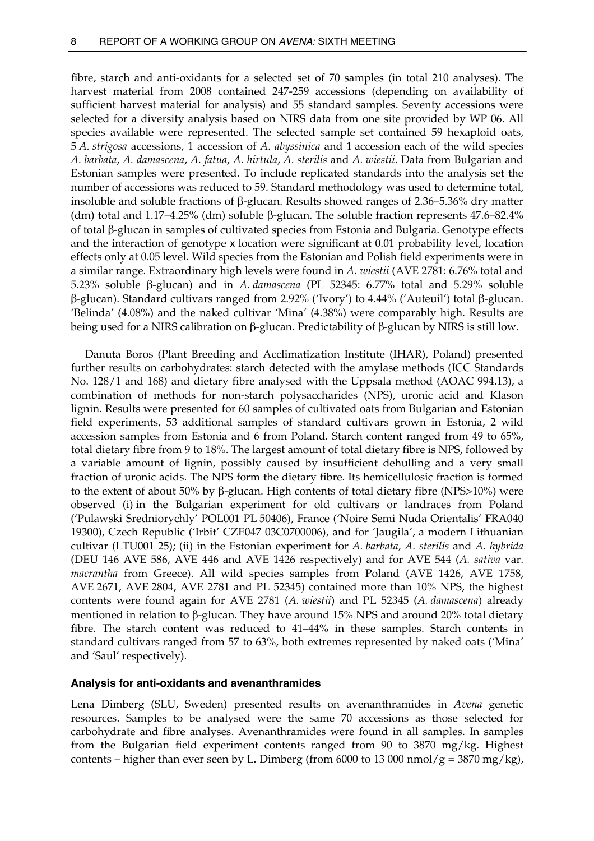<span id="page-13-0"></span>fibre, starch and anti-oxidants for a selected set of 70 samples (in total 210 analyses). The harvest material from 2008 contained 247-259 accessions (depending on availability of sufficient harvest material for analysis) and 55 standard samples. Seventy accessions were selected for a diversity analysis based on NIRS data from one site provided by WP 06. All species available were represented. The selected sample set contained 59 hexaploid oats, 5 *A. strigosa* accessions, 1 accession of *A. abyssinica* and 1 accession each of the wild species *A. barbata*, *A. damascena*, *A. fatua*, *A. hirtula*, *A. sterilis* and *A. wiestii*. Data from Bulgarian and Estonian samples were presented. To include replicated standards into the analysis set the number of accessions was reduced to 59. Standard methodology was used to determine total, insoluble and soluble fractions of β-glucan. Results showed ranges of 2.36–5.36% dry matter (dm) total and 1.17–4.25% (dm) soluble β-glucan. The soluble fraction represents 47.6–82.4% of total β-glucan in samples of cultivated species from Estonia and Bulgaria. Genotype effects and the interaction of genotype x location were significant at 0.01 probability level, location effects only at 0.05 level. Wild species from the Estonian and Polish field experiments were in a similar range. Extraordinary high levels were found in *A. wiestii* (AVE 2781: 6.76% total and 5.23% soluble β-glucan) and in *A. damascena* (PL 52345: 6.77% total and 5.29% soluble β-glucan). Standard cultivars ranged from 2.92% ('Ivory') to 4.44% ('Auteuil') total β-glucan. 'Belinda' (4.08%) and the naked cultivar 'Mina' (4.38%) were comparably high. Results are being used for a NIRS calibration on β-glucan. Predictability of β-glucan by NIRS is still low.

 Danuta Boros (Plant Breeding and Acclimatization Institute (IHAR), Poland) presented further results on carbohydrates: starch detected with the amylase methods (ICC Standards No. 128/1 and 168) and dietary fibre analysed with the Uppsala method (AOAC 994.13), a combination of methods for non-starch polysaccharides (NPS), uronic acid and Klason lignin. Results were presented for 60 samples of cultivated oats from Bulgarian and Estonian field experiments, 53 additional samples of standard cultivars grown in Estonia, 2 wild accession samples from Estonia and 6 from Poland. Starch content ranged from 49 to 65%, total dietary fibre from 9 to 18%. The largest amount of total dietary fibre is NPS, followed by a variable amount of lignin, possibly caused by insufficient dehulling and a very small fraction of uronic acids. The NPS form the dietary fibre. Its hemicellulosic fraction is formed to the extent of about 50% by β-glucan. High contents of total dietary fibre (NPS>10%) were observed (i) in the Bulgarian experiment for old cultivars or landraces from Poland ('Pulawski Sredniorychly' POL001 PL 50406), France ('Noire Semi Nuda Orientalis' FRA040 19300), Czech Republic ('Irbit' CZE047 03C0700006), and for 'Jaugila', a modern Lithuanian cultivar (LTU001 25); (ii) in the Estonian experiment for *A. barbata, A. sterilis* and *A. hybrida* (DEU 146 AVE 586, AVE 446 and AVE 1426 respectively) and for AVE 544 (*A. sativa* var. *macrantha* from Greece). All wild species samples from Poland (AVE 1426, AVE 1758, AVE 2671, AVE 2804, AVE 2781 and PL 52345) contained more than 10% NPS, the highest contents were found again for AVE 2781 (*A. wiestii*) and PL 52345 (*A. damascena*) already mentioned in relation to β-glucan. They have around 15% NPS and around 20% total dietary fibre. The starch content was reduced to 41–44% in these samples. Starch contents in standard cultivars ranged from 57 to 63%, both extremes represented by naked oats ('Mina' and 'Saul' respectively).

#### **Analysis for anti-oxidants and avenanthramides**

Lena Dimberg (SLU, Sweden) presented results on avenanthramides in *Avena* genetic resources. Samples to be analysed were the same 70 accessions as those selected for carbohydrate and fibre analyses. Avenanthramides were found in all samples. In samples from the Bulgarian field experiment contents ranged from 90 to 3870 mg/kg. Highest contents – higher than ever seen by L. Dimberg (from 6000 to 13 000 nmol/g = 3870 mg/kg),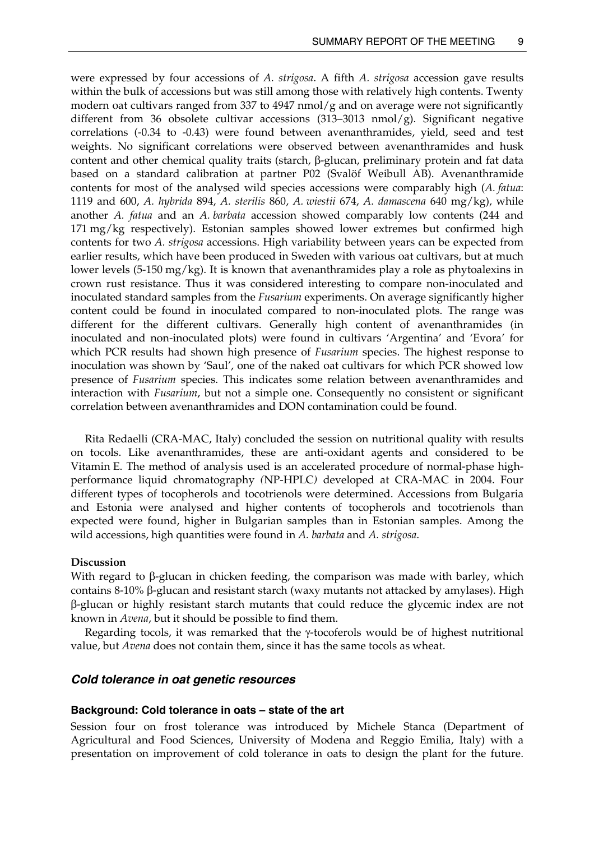<span id="page-14-0"></span>were expressed by four accessions of *A. strigosa*. A fifth *A. strigosa* accession gave results within the bulk of accessions but was still among those with relatively high contents. Twenty modern oat cultivars ranged from 337 to 4947 nmol/g and on average were not significantly different from 36 obsolete cultivar accessions (313–3013 nmol/g). Significant negative correlations (-0.34 to -0.43) were found between avenanthramides, yield, seed and test weights. No significant correlations were observed between avenanthramides and husk content and other chemical quality traits (starch, β-glucan, preliminary protein and fat data based on a standard calibration at partner P02 (Svalöf Weibull AB). Avenanthramide contents for most of the analysed wild species accessions were comparably high (*A. fatua*: 1119 and 600, *A. hybrida* 894, *A. sterilis* 860, *A. wiestii* 674, *A. damascena* 640 mg/kg), while another *A. fatua* and an *A. barbata* accession showed comparably low contents (244 and 171 mg/kg respectively). Estonian samples showed lower extremes but confirmed high contents for two *A. strigosa* accessions. High variability between years can be expected from earlier results, which have been produced in Sweden with various oat cultivars, but at much lower levels (5-150 mg/kg). It is known that avenanthramides play a role as phytoalexins in crown rust resistance. Thus it was considered interesting to compare non-inoculated and inoculated standard samples from the *Fusarium* experiments. On average significantly higher content could be found in inoculated compared to non-inoculated plots. The range was different for the different cultivars. Generally high content of avenanthramides (in inoculated and non-inoculated plots) were found in cultivars 'Argentina' and 'Evora' for which PCR results had shown high presence of *Fusarium* species. The highest response to inoculation was shown by 'Saul', one of the naked oat cultivars for which PCR showed low presence of *Fusarium* species. This indicates some relation between avenanthramides and interaction with *Fusarium*, but not a simple one. Consequently no consistent or significant correlation between avenanthramides and DON contamination could be found.

 Rita Redaelli (CRA-MAC, Italy) concluded the session on nutritional quality with results on tocols. Like avenanthramides, these are anti-oxidant agents and considered to be Vitamin E. The method of analysis used is an accelerated procedure of normal-phase highperformance liquid chromatography *(*NP-HPLC*)* developed at CRA-MAC in 2004. Four different types of tocopherols and tocotrienols were determined. Accessions from Bulgaria and Estonia were analysed and higher contents of tocopherols and tocotrienols than expected were found, higher in Bulgarian samples than in Estonian samples. Among the wild accessions, high quantities were found in *A. barbata* and *A. strigosa*.

#### **Discussion**

With regard to β-glucan in chicken feeding, the comparison was made with barley, which contains 8-10% β-glucan and resistant starch (waxy mutants not attacked by amylases). High β-glucan or highly resistant starch mutants that could reduce the glycemic index are not known in *Avena*, but it should be possible to find them.

 Regarding tocols, it was remarked that the γ-tocoferols would be of highest nutritional value, but *Avena* does not contain them, since it has the same tocols as wheat.

#### *Cold tolerance in oat genetic resources*

#### **Background: Cold tolerance in oats – state of the art**

Session four on frost tolerance was introduced by Michele Stanca (Department of Agricultural and Food Sciences, University of Modena and Reggio Emilia, Italy) with a presentation on improvement of cold tolerance in oats to design the plant for the future.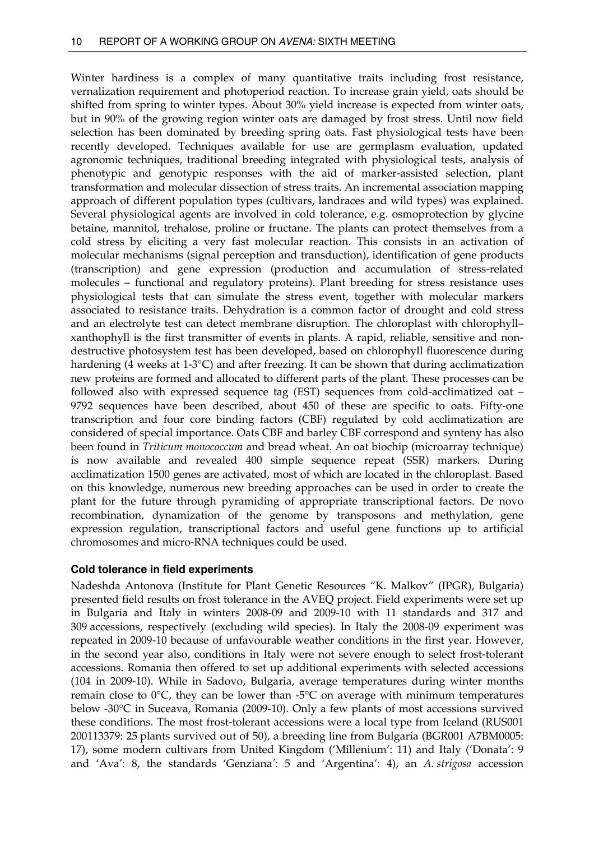<span id="page-15-0"></span>Winter hardiness is a complex of many quantitative traits including frost resistance, vernalization requirement and photoperiod reaction. To increase grain yield, oats should be shifted from spring to winter types. About 30% yield increase is expected from winter oats, but in 90% of the growing region winter oats are damaged by frost stress. Until now field selection has been dominated by breeding spring oats. Fast physiological tests have been recently developed. Techniques available for use are germplasm evaluation, updated agronomic techniques, traditional breeding integrated with physiological tests, analysis of phenotypic and genotypic responses with the aid of marker-assisted selection, plant transformation and molecular dissection of stress traits. An incremental association mapping approach of different population types (cultivars, landraces and wild types) was explained. Several physiological agents are involved in cold tolerance, e.g. osmoprotection by glycine betaine, mannitol, trehalose, proline or fructane. The plants can protect themselves from a cold stress by eliciting a very fast molecular reaction. This consists in an activation of molecular mechanisms (signal perception and transduction), identification of gene products (transcription) and gene expression (production and accumulation of stress-related molecules – functional and regulatory proteins). Plant breeding for stress resistance uses physiological tests that can simulate the stress event, together with molecular markers associated to resistance traits. Dehydration is a common factor of drought and cold stress and an electrolyte test can detect membrane disruption. The chloroplast with chlorophyll– xanthophyll is the first transmitter of events in plants. A rapid, reliable, sensitive and nondestructive photosystem test has been developed, based on chlorophyll fluorescence during hardening (4 weeks at 1-3°C) and after freezing. It can be shown that during acclimatization new proteins are formed and allocated to different parts of the plant. These processes can be followed also with expressed sequence tag (EST) sequences from cold-acclimatized oat – 9792 sequences have been described, about 450 of these are specific to oats. Fifty-one transcription and four core binding factors (CBF) regulated by cold acclimatization are considered of special importance. Oats CBF and barley CBF correspond and synteny has also been found in *Triticum monococcum* and bread wheat. An oat biochip (microarray technique) is now available and revealed 400 simple sequence repeat (SSR) markers. During acclimatization 1500 genes are activated, most of which are located in the chloroplast. Based on this knowledge, numerous new breeding approaches can be used in order to create the plant for the future through pyramiding of appropriate transcriptional factors. De novo recombination, dynamization of the genome by transposons and methylation, gene expression regulation, transcriptional factors and useful gene functions up to artificial chromosomes and micro-RNA techniques could be used.

### **Cold tolerance in field experiments**

Nadeshda Antonova (Institute for Plant Genetic Resources "K. Malkov" (IPGR), Bulgaria) presented field results on frost tolerance in the AVEQ project. Field experiments were set up in Bulgaria and Italy in winters 2008-09 and 2009-10 with 11 standards and 317 and 309 accessions, respectively (excluding wild species). In Italy the 2008-09 experiment was repeated in 2009-10 because of unfavourable weather conditions in the first year. However, in the second year also, conditions in Italy were not severe enough to select frost-tolerant accessions. Romania then offered to set up additional experiments with selected accessions (104 in 2009-10). While in Sadovo, Bulgaria, average temperatures during winter months remain close to  $0^{\circ}$ C, they can be lower than -5 $^{\circ}$ C on average with minimum temperatures below -30°C in Suceava, Romania (2009-10). Only a few plants of most accessions survived these conditions. The most frost-tolerant accessions were a local type from Iceland (RUS001 200113379: 25 plants survived out of 50), a breeding line from Bulgaria (BGR001 A7BM0005: 17), some modern cultivars from United Kingdom ('Millenium': 11) and Italy ('Donata': 9 and 'Ava': 8, the standards 'Genziana*'*: 5 and 'Argentina': 4), an *A. strigosa* accession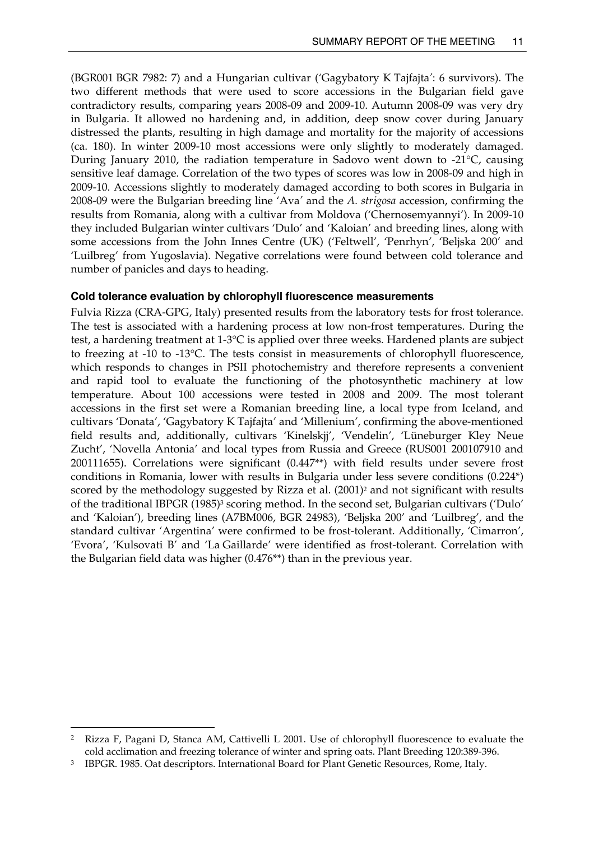<span id="page-16-0"></span>(BGR001 BGR 7982: 7) and a Hungarian cultivar ('Gagybatory K Tajfajta*'*: 6 survivors). The two different methods that were used to score accessions in the Bulgarian field gave contradictory results, comparing years 2008-09 and 2009-10. Autumn 2008-09 was very dry in Bulgaria. It allowed no hardening and, in addition, deep snow cover during January distressed the plants, resulting in high damage and mortality for the majority of accessions (ca. 180). In winter 2009-10 most accessions were only slightly to moderately damaged. During January 2010, the radiation temperature in Sadovo went down to -21°C, causing sensitive leaf damage. Correlation of the two types of scores was low in 2008-09 and high in 2009-10. Accessions slightly to moderately damaged according to both scores in Bulgaria in 2008-09 were the Bulgarian breeding line 'Ava*'* and the *A. strigosa* accession, confirming the results from Romania, along with a cultivar from Moldova ('Chernosemyannyi'). In 2009-10 they included Bulgarian winter cultivars 'Dulo' and 'Kaloian' and breeding lines, along with some accessions from the John Innes Centre (UK) ('Feltwell', 'Penrhyn', 'Beljska 200' and 'Luilbreg' from Yugoslavia). Negative correlations were found between cold tolerance and number of panicles and days to heading.

## **Cold tolerance evaluation by chlorophyll fluorescence measurements**

Fulvia Rizza (CRA-GPG, Italy) presented results from the laboratory tests for frost tolerance. The test is associated with a hardening process at low non-frost temperatures. During the test, a hardening treatment at 1-3°C is applied over three weeks. Hardened plants are subject to freezing at -10 to -13°C. The tests consist in measurements of chlorophyll fluorescence, which responds to changes in PSII photochemistry and therefore represents a convenient and rapid tool to evaluate the functioning of the photosynthetic machinery at low temperature. About 100 accessions were tested in 2008 and 2009. The most tolerant accessions in the first set were a Romanian breeding line, a local type from Iceland, and cultivars 'Donata', 'Gagybatory K Tajfajta' and 'Millenium', confirming the above-mentioned field results and, additionally, cultivars 'Kinelskjj', 'Vendelin', 'Lüneburger Kley Neue Zucht', 'Novella Antonia' and local types from Russia and Greece (RUS001 200107910 and 200111655). Correlations were significant (0.447\*\*) with field results under severe frost conditions in Romania, lower with results in Bulgaria under less severe conditions (0.224\*) scored by the methodology suggested by Rizza et al. (2001)<sup>2</sup> and not significant with results of the traditional IBPGR (1985)[3](#page-16-2) scoring method. In the second set, Bulgarian cultivars ('Dulo' and 'Kaloian'), breeding lines (A7BM006, BGR 24983), 'Beljska 200' and 'Luilbreg', and the standard cultivar 'Argentina' were confirmed to be frost-tolerant. Additionally, 'Cimarron', 'Evora', 'Kulsovati B' and 'La Gaillarde' were identified as frost-tolerant. Correlation with the Bulgarian field data was higher (0.476\*\*) than in the previous year.

 $\overline{a}$ 

<span id="page-16-1"></span><sup>2</sup> Rizza F, Pagani D, Stanca AM, Cattivelli L 2001. Use of chlorophyll fluorescence to evaluate the cold acclimation and freezing tolerance of winter and spring oats. Plant Breeding 120:389-396.

<span id="page-16-2"></span><sup>&</sup>lt;sup>3</sup> IBPGR. 1985. Oat descriptors. International Board for Plant Genetic Resources, Rome, Italy.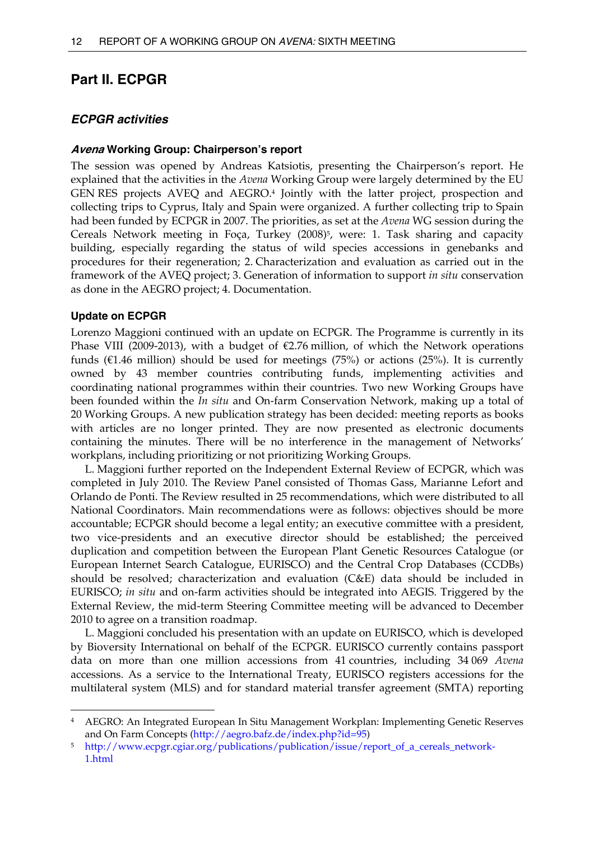## <span id="page-17-0"></span>**Part II. ECPGR**

## *ECPGR activities*

#### **Avena Working Group: Chairperson's report**

The session was opened by Andreas Katsiotis, presenting the Chairperson's report. He explained that the activities in the *Avena* Working Group were largely determined by the EU GEN RES projects AVEQ and AEGRO.[4](#page-17-1) Jointly with the latter project, prospection and collecting trips to Cyprus, Italy and Spain were organized. A further collecting trip to Spain had been funded by ECPGR in 2007. The priorities, as set at the *Avena* WG session during the Cereals Network meeting in Foça, Turkey (2008)<sup>5</sup>, were: 1. Task sharing and capacity building, especially regarding the status of wild species accessions in genebanks and procedures for their regeneration; 2. Characterization and evaluation as carried out in the framework of the AVEQ project; 3. Generation of information to support *in situ* conservation as done in the AEGRO project; 4. Documentation.

#### **Update on ECPGR**

 $\overline{a}$ 

Lorenzo Maggioni continued with an update on ECPGR. The Programme is currently in its Phase VIII (2009-2013), with a budget of  $\epsilon$ 2.76 million, of which the Network operations funds ( $E1.46$  million) should be used for meetings (75%) or actions (25%). It is currently owned by 43 member countries contributing funds, implementing activities and coordinating national programmes within their countries. Two new Working Groups have been founded within the *In situ* and On-farm Conservation Network, making up a total of 20 Working Groups. A new publication strategy has been decided: meeting reports as books with articles are no longer printed. They are now presented as electronic documents containing the minutes. There will be no interference in the management of Networks' workplans, including prioritizing or not prioritizing Working Groups.

 L. Maggioni further reported on the Independent External Review of ECPGR, which was completed in July 2010. The Review Panel consisted of Thomas Gass, Marianne Lefort and Orlando de Ponti. The Review resulted in 25 recommendations, which were distributed to all National Coordinators. Main recommendations were as follows: objectives should be more accountable; ECPGR should become a legal entity; an executive committee with a president, two vice-presidents and an executive director should be established; the perceived duplication and competition between the European Plant Genetic Resources Catalogue (or European Internet Search Catalogue, EURISCO) and the Central Crop Databases (CCDBs) should be resolved; characterization and evaluation (C&E) data should be included in EURISCO; *in situ* and on-farm activities should be integrated into AEGIS. Triggered by the External Review, the mid-term Steering Committee meeting will be advanced to December 2010 to agree on a transition roadmap.

 L. Maggioni concluded his presentation with an update on EURISCO, which is developed by Bioversity International on behalf of the ECPGR. EURISCO currently contains passport data on more than one million accessions from 41 countries, including 34 069 *Avena* accessions. As a service to the International Treaty, EURISCO registers accessions for the multilateral system (MLS) and for standard material transfer agreement (SMTA) reporting

<span id="page-17-1"></span><sup>4</sup> AEGRO: An Integrated European In Situ Management Workplan: Implementing Genetic Reserves and On Farm Concepts (<http://aegro.bafz.de/index.php?id=95>)

<span id="page-17-2"></span><sup>5</sup> http://www.ecpgr.cgiar.org/publications/publication/issue/report\_of\_a\_cereals\_network-1.html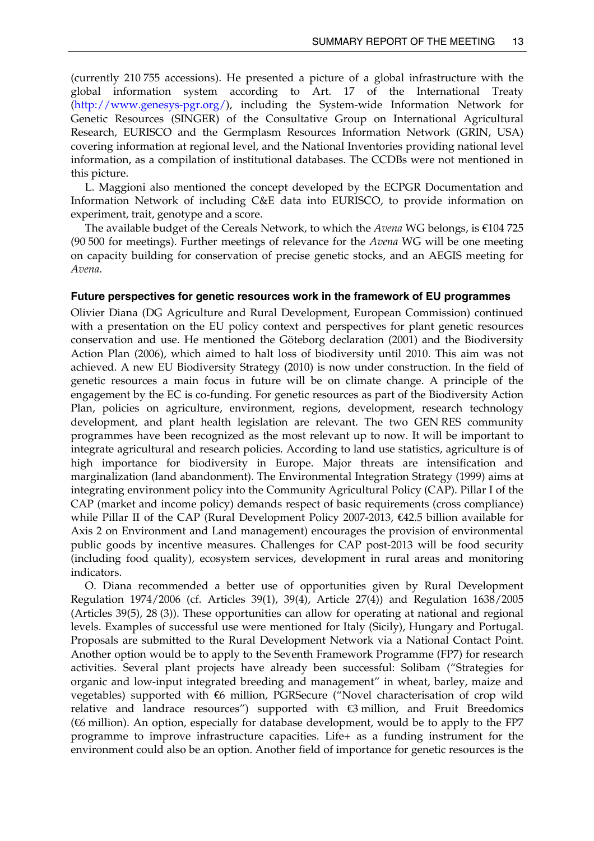<span id="page-18-0"></span>(currently 210 755 accessions). He presented a picture of a global infrastructure with the global information system according to Art. 17 of the International Treaty (<http://www.genesys-pgr.org/>), including the System-wide Information Network for Genetic Resources (SINGER) of the Consultative Group on International Agricultural Research, EURISCO and the Germplasm Resources Information Network (GRIN, USA) covering information at regional level, and the National Inventories providing national level information, as a compilation of institutional databases. The CCDBs were not mentioned in this picture.

 L. Maggioni also mentioned the concept developed by the ECPGR Documentation and Information Network of including C&E data into EURISCO, to provide information on experiment, trait, genotype and a score.

 The available budget of the Cereals Network, to which the *Avena* WG belongs, is €104 725 (90 500 for meetings). Further meetings of relevance for the *Avena* WG will be one meeting on capacity building for conservation of precise genetic stocks, and an AEGIS meeting for *Avena*.

#### **Future perspectives for genetic resources work in the framework of EU programmes**

Olivier Diana (DG Agriculture and Rural Development, European Commission) continued with a presentation on the EU policy context and perspectives for plant genetic resources conservation and use. He mentioned the Göteborg declaration (2001) and the Biodiversity Action Plan (2006), which aimed to halt loss of biodiversity until 2010. This aim was not achieved. A new EU Biodiversity Strategy (2010) is now under construction. In the field of genetic resources a main focus in future will be on climate change. A principle of the engagement by the EC is co-funding. For genetic resources as part of the Biodiversity Action Plan, policies on agriculture, environment, regions, development, research technology development, and plant health legislation are relevant. The two GEN RES community programmes have been recognized as the most relevant up to now. It will be important to integrate agricultural and research policies. According to land use statistics, agriculture is of high importance for biodiversity in Europe. Major threats are intensification and marginalization (land abandonment). The Environmental Integration Strategy (1999) aims at integrating environment policy into the Community Agricultural Policy (CAP). Pillar I of the CAP (market and income policy) demands respect of basic requirements (cross compliance) while Pillar II of the CAP (Rural Development Policy 2007-2013, €42.5 billion available for Axis 2 on Environment and Land management) encourages the provision of environmental public goods by incentive measures. Challenges for CAP post-2013 will be food security (including food quality), ecosystem services, development in rural areas and monitoring indicators.

 O. Diana recommended a better use of opportunities given by Rural Development Regulation 1974/2006 (cf. Articles 39(1), 39(4), Article 27(4)) and Regulation 1638/2005 (Articles 39(5), 28 (3)). These opportunities can allow for operating at national and regional levels. Examples of successful use were mentioned for Italy (Sicily), Hungary and Portugal. Proposals are submitted to the Rural Development Network via a National Contact Point. Another option would be to apply to the Seventh Framework Programme (FP7) for research activities. Several plant projects have already been successful: Solibam ("Strategies for organic and low-input integrated breeding and management" in wheat, barley, maize and vegetables) supported with €6 million, PGRSecure ("Novel characterisation of crop wild relative and landrace resources") supported with  $\bigoplus$  million, and Fruit Breedomics (€6 million). An option, especially for database development, would be to apply to the FP7 programme to improve infrastructure capacities. Life+ as a funding instrument for the environment could also be an option. Another field of importance for genetic resources is the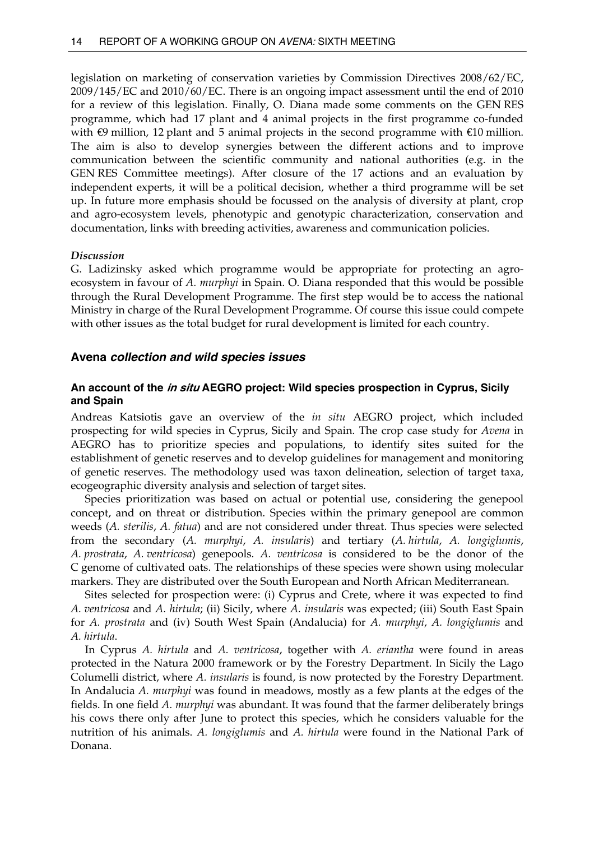<span id="page-19-0"></span>legislation on marketing of conservation varieties by Commission Directives 2008/62/EC, 2009/145/EC and 2010/60/EC. There is an ongoing impact assessment until the end of 2010 for a review of this legislation. Finally, O. Diana made some comments on the GEN RES programme, which had 17 plant and 4 animal projects in the first programme co-funded with  $\oplus$  million, 12 plant and 5 animal projects in the second programme with  $\oplus$  0 million. The aim is also to develop synergies between the different actions and to improve communication between the scientific community and national authorities (e.g. in the GEN RES Committee meetings). After closure of the 17 actions and an evaluation by independent experts, it will be a political decision, whether a third programme will be set up. In future more emphasis should be focussed on the analysis of diversity at plant, crop and agro-ecosystem levels, phenotypic and genotypic characterization, conservation and documentation, links with breeding activities, awareness and communication policies.

#### *Discussion*

G. Ladizinsky asked which programme would be appropriate for protecting an agroecosystem in favour of *A. murphyi* in Spain. O. Diana responded that this would be possible through the Rural Development Programme. The first step would be to access the national Ministry in charge of the Rural Development Programme. Of course this issue could compete with other issues as the total budget for rural development is limited for each country.

#### **Avena** *collection and wild species issues*

## **An account of the in situ AEGRO project: Wild species prospection in Cyprus, Sicily and Spain**

Andreas Katsiotis gave an overview of the *in situ* AEGRO project, which included prospecting for wild species in Cyprus, Sicily and Spain. The crop case study for *Avena* in AEGRO has to prioritize species and populations, to identify sites suited for the establishment of genetic reserves and to develop guidelines for management and monitoring of genetic reserves. The methodology used was taxon delineation, selection of target taxa, ecogeographic diversity analysis and selection of target sites.

 Species prioritization was based on actual or potential use, considering the genepool concept, and on threat or distribution. Species within the primary genepool are common weeds (*A. sterilis*, *A. fatua*) and are not considered under threat. Thus species were selected from the secondary (*A. murphyi*, *A. insularis*) and tertiary (*A. hirtula*, *A. longiglumis*, *A. prostrata*, *A. ventricosa*) genepools. *A. ventricosa* is considered to be the donor of the C genome of cultivated oats. The relationships of these species were shown using molecular markers. They are distributed over the South European and North African Mediterranean.

 Sites selected for prospection were: (i) Cyprus and Crete, where it was expected to find *A. ventricosa* and *A. hirtula*; (ii) Sicily, where *A. insularis* was expected; (iii) South East Spain for *A. prostrata* and (iv) South West Spain (Andalucia) for *A. murphyi*, *A. longiglumis* and *A. hirtula*.

 In Cyprus *A. hirtula* and *A. ventricosa*, together with *A. eriantha* were found in areas protected in the Natura 2000 framework or by the Forestry Department. In Sicily the Lago Columelli district, where *A. insularis* is found, is now protected by the Forestry Department. In Andalucia *A. murphyi* was found in meadows, mostly as a few plants at the edges of the fields. In one field *A. murphyi* was abundant. It was found that the farmer deliberately brings his cows there only after June to protect this species, which he considers valuable for the nutrition of his animals. *A. longiglumis* and *A. hirtula* were found in the National Park of Donana.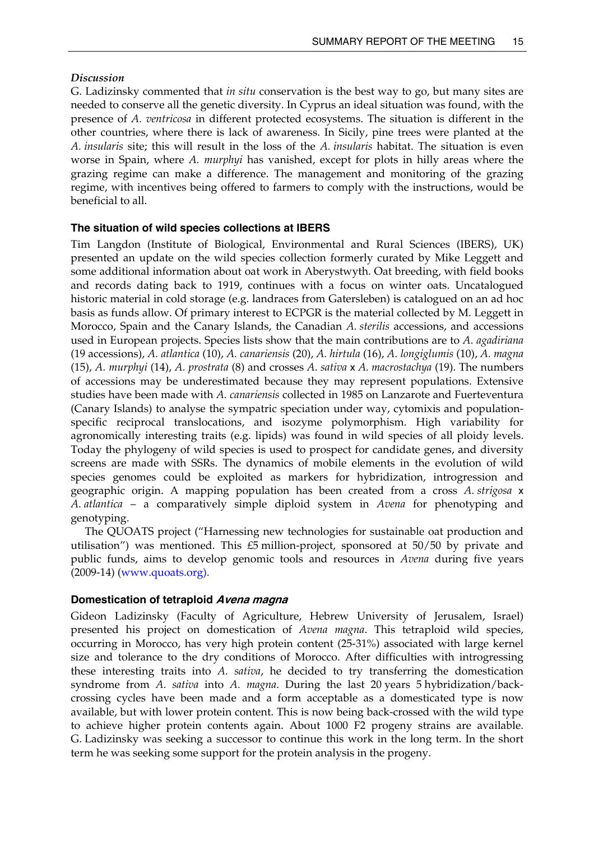### <span id="page-20-0"></span>*Discussion*

G. Ladizinsky commented that *in situ* conservation is the best way to go, but many sites are needed to conserve all the genetic diversity. In Cyprus an ideal situation was found, with the presence of *A. ventricosa* in different protected ecosystems. The situation is different in the other countries, where there is lack of awareness. In Sicily, pine trees were planted at the *A. insularis* site; this will result in the loss of the *A. insularis* habitat. The situation is even worse in Spain, where *A. murphyi* has vanished, except for plots in hilly areas where the grazing regime can make a difference. The management and monitoring of the grazing regime, with incentives being offered to farmers to comply with the instructions, would be beneficial to all.

### **The situation of wild species collections at IBERS**

Tim Langdon (Institute of Biological, Environmental and Rural Sciences (IBERS), UK) presented an update on the wild species collection formerly curated by Mike Leggett and some additional information about oat work in Aberystwyth. Oat breeding, with field books and records dating back to 1919, continues with a focus on winter oats. Uncatalogued historic material in cold storage (e.g. landraces from Gatersleben) is catalogued on an ad hoc basis as funds allow. Of primary interest to ECPGR is the material collected by M. Leggett in Morocco, Spain and the Canary Islands, the Canadian *A. sterilis* accessions, and accessions used in European projects. Species lists show that the main contributions are to *A. agadiriana* (19 accessions), *A. atlantica* (10), *A. canariensis* (20), *A. hirtula* (16), *A. longiglumis* (10), *A. magna* (15), *A. murphyi* (14), *A. prostrata* (8) and crosses *A. sativa* x *A. macrostachya* (19). The numbers of accessions may be underestimated because they may represent populations. Extensive studies have been made with *A. canariensis* collected in 1985 on Lanzarote and Fuerteventura (Canary Islands) to analyse the sympatric speciation under way, cytomixis and populationspecific reciprocal translocations, and isozyme polymorphism. High variability for agronomically interesting traits (e.g. lipids) was found in wild species of all ploidy levels. Today the phylogeny of wild species is used to prospect for candidate genes, and diversity screens are made with SSRs. The dynamics of mobile elements in the evolution of wild species genomes could be exploited as markers for hybridization, introgression and geographic origin. A mapping population has been created from a cross *A. strigosa* x *A. atlantica* – a comparatively simple diploid system in *Avena* for phenotyping and genotyping.

 The QUOATS project ("Harnessing new technologies for sustainable oat production and utilisation") was mentioned. This £5 million-project, sponsored at 50/50 by private and public funds, aims to develop genomic tools and resources in *Avena* during five years (2009-14) [\(www.quoats.org](http://www.quoats.org/)).

### **Domestication of tetraploid Avena magna**

Gideon Ladizinsky (Faculty of Agriculture, Hebrew University of Jerusalem, Israel) presented his project on domestication of *Avena magna*. This tetraploid wild species, occurring in Morocco, has very high protein content (25-31%) associated with large kernel size and tolerance to the dry conditions of Morocco. After difficulties with introgressing these interesting traits into *A. sativa*, he decided to try transferring the domestication syndrome from *A. sativa* into *A. magna*. During the last 20 years 5 hybridization/backcrossing cycles have been made and a form acceptable as a domesticated type is now available, but with lower protein content. This is now being back-crossed with the wild type to achieve higher protein contents again. About 1000 F2 progeny strains are available. G. Ladizinsky was seeking a successor to continue this work in the long term. In the short term he was seeking some support for the protein analysis in the progeny.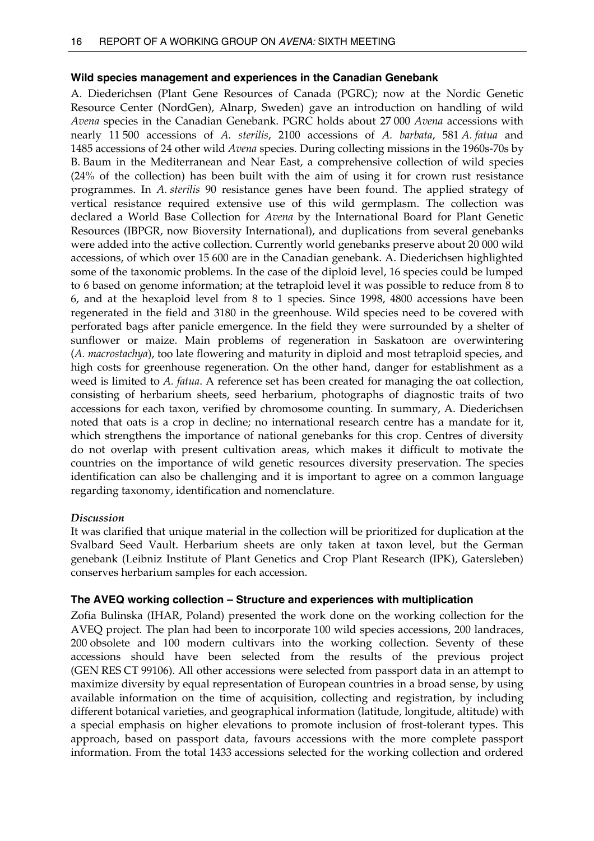## <span id="page-21-0"></span>**Wild species management and experiences in the Canadian Genebank**

A. Diederichsen (Plant Gene Resources of Canada (PGRC); now at the Nordic Genetic Resource Center (NordGen), Alnarp, Sweden) gave an introduction on handling of wild *Avena* species in the Canadian Genebank. PGRC holds about 27 000 *Avena* accessions with nearly 11 500 accessions of *A. sterilis*, 2100 accessions of *A. barbata*, 581 *A. fatua* and 1485 accessions of 24 other wild *Avena* species. During collecting missions in the 1960s-70s by B. Baum in the Mediterranean and Near East, a comprehensive collection of wild species (24% of the collection) has been built with the aim of using it for crown rust resistance programmes. In *A. sterilis* 90 resistance genes have been found. The applied strategy of vertical resistance required extensive use of this wild germplasm. The collection was declared a World Base Collection for *Avena* by the International Board for Plant Genetic Resources (IBPGR, now Bioversity International), and duplications from several genebanks were added into the active collection. Currently world genebanks preserve about 20 000 wild accessions, of which over 15 600 are in the Canadian genebank. A. Diederichsen highlighted some of the taxonomic problems. In the case of the diploid level, 16 species could be lumped to 6 based on genome information; at the tetraploid level it was possible to reduce from 8 to 6, and at the hexaploid level from 8 to 1 species. Since 1998, 4800 accessions have been regenerated in the field and 3180 in the greenhouse. Wild species need to be covered with perforated bags after panicle emergence. In the field they were surrounded by a shelter of sunflower or maize. Main problems of regeneration in Saskatoon are overwintering (*A. macrostachya*), too late flowering and maturity in diploid and most tetraploid species, and high costs for greenhouse regeneration. On the other hand, danger for establishment as a weed is limited to *A. fatua*. A reference set has been created for managing the oat collection, consisting of herbarium sheets, seed herbarium, photographs of diagnostic traits of two accessions for each taxon, verified by chromosome counting. In summary, A. Diederichsen noted that oats is a crop in decline; no international research centre has a mandate for it, which strengthens the importance of national genebanks for this crop. Centres of diversity do not overlap with present cultivation areas, which makes it difficult to motivate the countries on the importance of wild genetic resources diversity preservation. The species identification can also be challenging and it is important to agree on a common language regarding taxonomy, identification and nomenclature.

## *Discussion*

It was clarified that unique material in the collection will be prioritized for duplication at the Svalbard Seed Vault. Herbarium sheets are only taken at taxon level, but the German genebank (Leibniz Institute of Plant Genetics and Crop Plant Research (IPK), Gatersleben) conserves herbarium samples for each accession.

## **The AVEQ working collection – Structure and experiences with multiplication**

Zofia Bulinska (IHAR, Poland) presented the work done on the working collection for the AVEQ project. The plan had been to incorporate 100 wild species accessions, 200 landraces, 200 obsolete and 100 modern cultivars into the working collection. Seventy of these accessions should have been selected from the results of the previous project (GEN RES CT 99106). All other accessions were selected from passport data in an attempt to maximize diversity by equal representation of European countries in a broad sense, by using available information on the time of acquisition, collecting and registration, by including different botanical varieties, and geographical information (latitude, longitude, altitude) with a special emphasis on higher elevations to promote inclusion of frost-tolerant types. This approach, based on passport data, favours accessions with the more complete passport information. From the total 1433 accessions selected for the working collection and ordered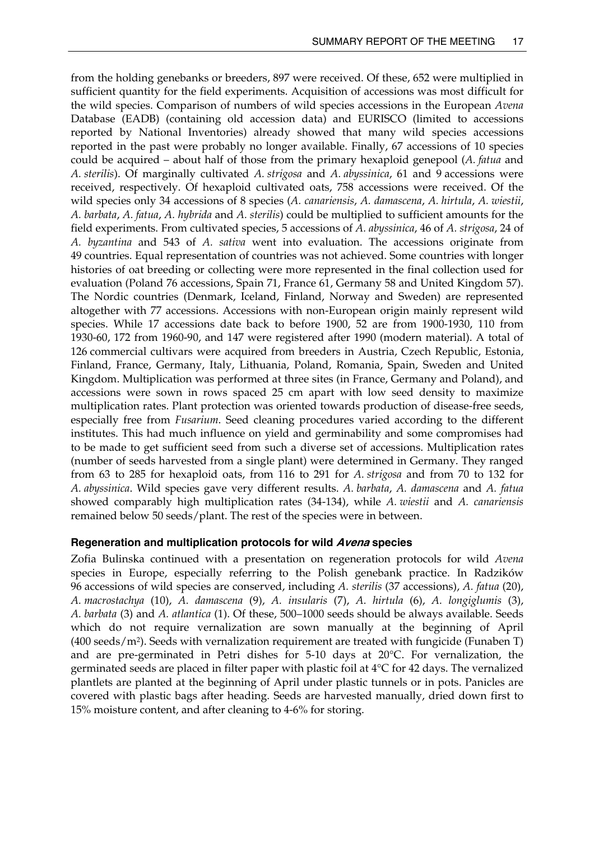<span id="page-22-0"></span>from the holding genebanks or breeders, 897 were received. Of these, 652 were multiplied in sufficient quantity for the field experiments. Acquisition of accessions was most difficult for the wild species. Comparison of numbers of wild species accessions in the European *Avena*  Database (EADB) (containing old accession data) and EURISCO (limited to accessions reported by National Inventories) already showed that many wild species accessions reported in the past were probably no longer available. Finally, 67 accessions of 10 species could be acquired – about half of those from the primary hexaploid genepool (*A. fatua* and *A. sterilis*). Of marginally cultivated *A. strigosa* and *A. abyssinica*, 61 and 9 accessions were received, respectively. Of hexaploid cultivated oats, 758 accessions were received. Of the wild species only 34 accessions of 8 species (*A. canariensis*, *A. damascena*, *A. hirtula*, *A. wiestii*, *A. barbata*, *A. fatua*, *A. hybrida* and *A. sterilis*) could be multiplied to sufficient amounts for the field experiments. From cultivated species, 5 accessions of *A. abyssinica*, 46 of *A. strigosa*, 24 of *A. byzantina* and 543 of *A. sativa* went into evaluation. The accessions originate from 49 countries. Equal representation of countries was not achieved. Some countries with longer histories of oat breeding or collecting were more represented in the final collection used for evaluation (Poland 76 accessions, Spain 71, France 61, Germany 58 and United Kingdom 57). The Nordic countries (Denmark, Iceland, Finland, Norway and Sweden) are represented altogether with 77 accessions. Accessions with non-European origin mainly represent wild species. While 17 accessions date back to before 1900, 52 are from 1900-1930, 110 from 1930-60, 172 from 1960-90, and 147 were registered after 1990 (modern material). A total of 126 commercial cultivars were acquired from breeders in Austria, Czech Republic, Estonia, Finland, France, Germany, Italy, Lithuania, Poland, Romania, Spain, Sweden and United Kingdom. Multiplication was performed at three sites (in France, Germany and Poland), and accessions were sown in rows spaced 25 cm apart with low seed density to maximize multiplication rates. Plant protection was oriented towards production of disease-free seeds, especially free from *Fusarium*. Seed cleaning procedures varied according to the different institutes. This had much influence on yield and germinability and some compromises had to be made to get sufficient seed from such a diverse set of accessions. Multiplication rates (number of seeds harvested from a single plant) were determined in Germany. They ranged from 63 to 285 for hexaploid oats, from 116 to 291 for *A. strigosa* and from 70 to 132 for *A. abyssinica*. Wild species gave very different results. *A. barbata*, *A. damascena* and *A. fatua* showed comparably high multiplication rates (34-134), while *A. wiestii* and *A. canariensis* remained below 50 seeds/plant. The rest of the species were in between.

#### **Regeneration and multiplication protocols for wild Avena species**

Zofia Bulinska continued with a presentation on regeneration protocols for wild *Avena* species in Europe, especially referring to the Polish genebank practice. In Radzików 96 accessions of wild species are conserved, including *A. sterilis* (37 accessions), *A. fatua* (20), *A. macrostachya* (10), *A. damascena* (9), *A. insularis* (7), *A. hirtula* (6), *A. longiglumis* (3), *A. barbata* (3) and *A. atlantica* (1). Of these, 500–1000 seeds should be always available. Seeds which do not require vernalization are sown manually at the beginning of April  $(400 \text{ seeds/m}^2)$ . Seeds with vernalization requirement are treated with fungicide (Funaben T) and are pre-germinated in Petri dishes for 5-10 days at 20°C. For vernalization, the germinated seeds are placed in filter paper with plastic foil at 4°C for 42 days. The vernalized plantlets are planted at the beginning of April under plastic tunnels or in pots. Panicles are covered with plastic bags after heading. Seeds are harvested manually, dried down first to 15% moisture content, and after cleaning to 4-6% for storing.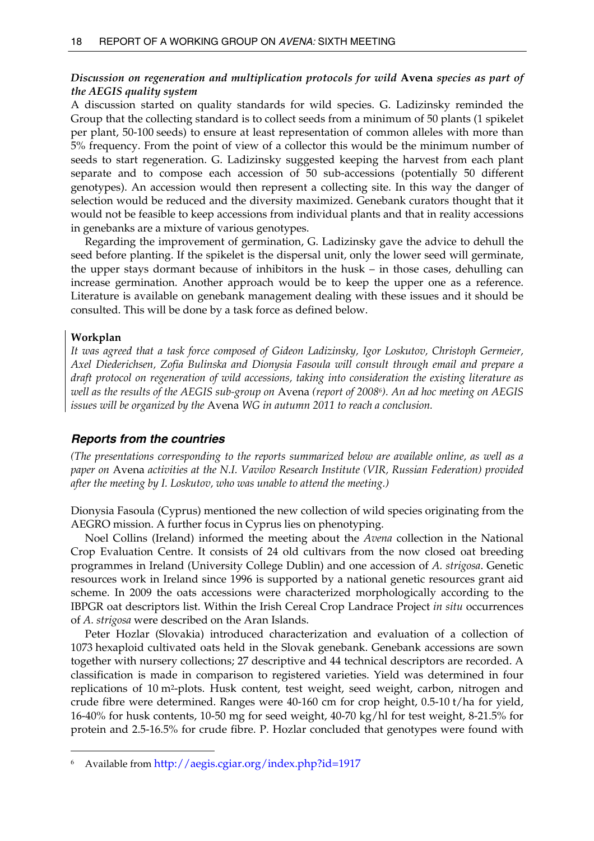## <span id="page-23-0"></span>*Discussion on regeneration and multiplication protocols for wild* **Avena** *species as part of the AEGIS quality system*

A discussion started on quality standards for wild species. G. Ladizinsky reminded the Group that the collecting standard is to collect seeds from a minimum of 50 plants (1 spikelet per plant, 50-100 seeds) to ensure at least representation of common alleles with more than 5% frequency. From the point of view of a collector this would be the minimum number of seeds to start regeneration. G. Ladizinsky suggested keeping the harvest from each plant separate and to compose each accession of 50 sub-accessions (potentially 50 different genotypes). An accession would then represent a collecting site. In this way the danger of selection would be reduced and the diversity maximized. Genebank curators thought that it would not be feasible to keep accessions from individual plants and that in reality accessions in genebanks are a mixture of various genotypes.

 Regarding the improvement of germination, G. Ladizinsky gave the advice to dehull the seed before planting. If the spikelet is the dispersal unit, only the lower seed will germinate, the upper stays dormant because of inhibitors in the husk – in those cases, dehulling can increase germination. Another approach would be to keep the upper one as a reference. Literature is available on genebank management dealing with these issues and it should be consulted. This will be done by a task force as defined below.

#### **Workplan**

 $\overline{a}$ 

*It was agreed that a task force composed of Gideon Ladizinsky, Igor Loskutov, Christoph Germeier, Axel Diederichsen, Zofia Bulinska and Dionysia Fasoula will consult through email and prepare a draft protocol on regeneration of wild accessions, taking into consideration the existing literature as well as the results of the AEGIS sub-group on* Avena *(report of 2008[6\)](#page-23-1). An ad hoc meeting on AEGIS issues will be organized by the* Avena *WG in autumn 2011 to reach a conclusion.* 

### *Reports from the countries*

*(The presentations corresponding to the reports summarized below are available online, as well as a paper on* Avena *activities at the N.I. Vavilov Research Institute (VIR, Russian Federation) provided after the meeting by I. Loskutov, who was unable to attend the meeting.)* 

Dionysia Fasoula (Cyprus) mentioned the new collection of wild species originating from the AEGRO mission. A further focus in Cyprus lies on phenotyping.

 Noel Collins (Ireland) informed the meeting about the *Avena* collection in the National Crop Evaluation Centre. It consists of 24 old cultivars from the now closed oat breeding programmes in Ireland (University College Dublin) and one accession of *A. strigosa*. Genetic resources work in Ireland since 1996 is supported by a national genetic resources grant aid scheme. In 2009 the oats accessions were characterized morphologically according to the IBPGR oat descriptors list. Within the Irish Cereal Crop Landrace Project *in situ* occurrences of *A. strigosa* were described on the Aran Islands.

 Peter Hozlar (Slovakia) introduced characterization and evaluation of a collection of 1073 hexaploid cultivated oats held in the Slovak genebank. Genebank accessions are sown together with nursery collections; 27 descriptive and 44 technical descriptors are recorded. A classification is made in comparison to registered varieties. Yield was determined in four replications of 10 m2-plots. Husk content, test weight, seed weight, carbon, nitrogen and crude fibre were determined. Ranges were 40-160 cm for crop height, 0.5-10 t/ha for yield, 16-40% for husk contents, 10-50 mg for seed weight, 40-70 kg/hl for test weight, 8-21.5% for protein and 2.5-16.5% for crude fibre. P. Hozlar concluded that genotypes were found with

<span id="page-23-1"></span><sup>6</sup> Available from<http://aegis.cgiar.org/index.php?id=1917>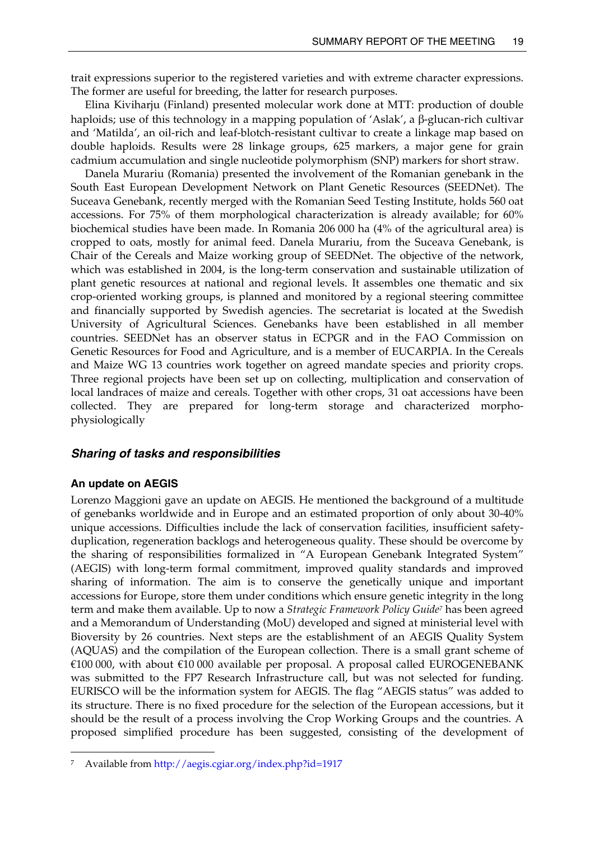<span id="page-24-0"></span>trait expressions superior to the registered varieties and with extreme character expressions. The former are useful for breeding, the latter for research purposes.

 Elina Kiviharju (Finland) presented molecular work done at MTT: production of double haploids; use of this technology in a mapping population of 'Aslak', a β-glucan-rich cultivar and 'Matilda', an oil-rich and leaf-blotch-resistant cultivar to create a linkage map based on double haploids. Results were 28 linkage groups, 625 markers, a major gene for grain cadmium accumulation and single nucleotide polymorphism (SNP) markers for short straw.

 Danela Murariu (Romania) presented the involvement of the Romanian genebank in the South East European Development Network on Plant Genetic Resources (SEEDNet). The Suceava Genebank, recently merged with the Romanian Seed Testing Institute, holds 560 oat accessions. For 75% of them morphological characterization is already available; for 60% biochemical studies have been made. In Romania 206 000 ha (4% of the agricultural area) is cropped to oats, mostly for animal feed. Danela Murariu, from the Suceava Genebank, is Chair of the Cereals and Maize working group of SEEDNet. The objective of the network, which was established in 2004, is the long-term conservation and sustainable utilization of plant genetic resources at national and regional levels. It assembles one thematic and six crop-oriented working groups, is planned and monitored by a regional steering committee and financially supported by Swedish agencies. The secretariat is located at the Swedish University of Agricultural Sciences. Genebanks have been established in all member countries. SEEDNet has an observer status in ECPGR and in the FAO Commission on Genetic Resources for Food and Agriculture, and is a member of EUCARPIA. In the Cereals and Maize WG 13 countries work together on agreed mandate species and priority crops. Three regional projects have been set up on collecting, multiplication and conservation of local landraces of maize and cereals. Together with other crops, 31 oat accessions have been collected. They are prepared for long-term storage and characterized morphophysiologically

### *Sharing of tasks and responsibilities*

#### **An update on AEGIS**

 $\overline{a}$ 

Lorenzo Maggioni gave an update on AEGIS. He mentioned the background of a multitude of genebanks worldwide and in Europe and an estimated proportion of only about 30-40% unique accessions. Difficulties include the lack of conservation facilities, insufficient safetyduplication, regeneration backlogs and heterogeneous quality. These should be overcome by the sharing of responsibilities formalized in "A European Genebank Integrated System" (AEGIS) with long-term formal commitment, improved quality standards and improved sharing of information. The aim is to conserve the genetically unique and important accessions for Europe, store them under conditions which ensure genetic integrity in the long term and make them available. Up to now a *Strategic Framework Policy Guid[e7](#page-24-1)* has been agreed and a Memorandum of Understanding (MoU) developed and signed at ministerial level with Bioversity by 26 countries. Next steps are the establishment of an AEGIS Quality System (AQUAS) and the compilation of the European collection. There is a small grant scheme of €100 000, with about €10 000 available per proposal. A proposal called EUROGENEBANK was submitted to the FP7 Research Infrastructure call, but was not selected for funding. EURISCO will be the information system for AEGIS. The flag "AEGIS status" was added to its structure. There is no fixed procedure for the selection of the European accessions, but it should be the result of a process involving the Crop Working Groups and the countries. A proposed simplified procedure has been suggested, consisting of the development of

<span id="page-24-1"></span><sup>7</sup> Available from<http://aegis.cgiar.org/index.php?id=1917>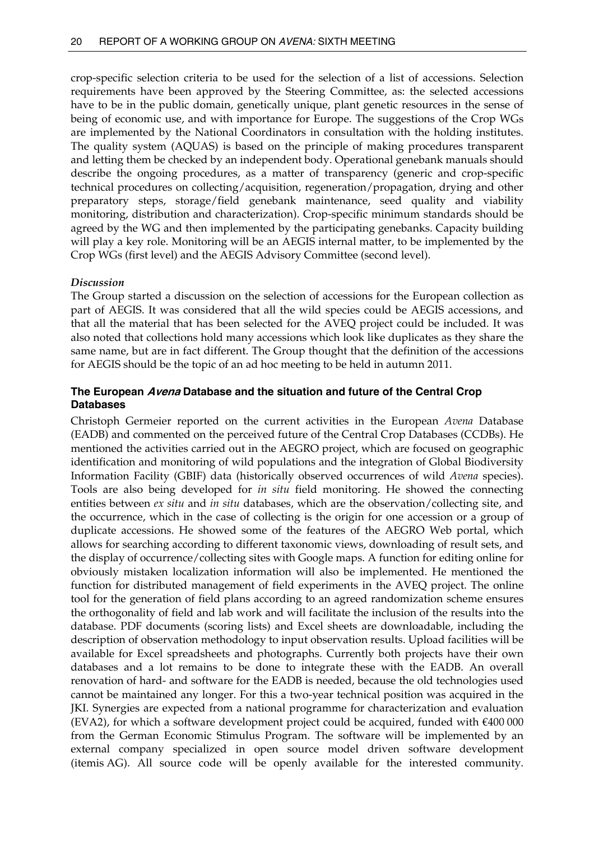<span id="page-25-0"></span>crop-specific selection criteria to be used for the selection of a list of accessions. Selection requirements have been approved by the Steering Committee, as: the selected accessions have to be in the public domain, genetically unique, plant genetic resources in the sense of being of economic use, and with importance for Europe. The suggestions of the Crop WGs are implemented by the National Coordinators in consultation with the holding institutes. The quality system (AQUAS) is based on the principle of making procedures transparent and letting them be checked by an independent body. Operational genebank manuals should describe the ongoing procedures, as a matter of transparency (generic and crop-specific technical procedures on collecting/acquisition, regeneration/propagation, drying and other preparatory steps, storage/field genebank maintenance, seed quality and viability monitoring, distribution and characterization). Crop-specific minimum standards should be agreed by the WG and then implemented by the participating genebanks. Capacity building will play a key role. Monitoring will be an AEGIS internal matter, to be implemented by the Crop WGs (first level) and the AEGIS Advisory Committee (second level).

## *Discussion*

The Group started a discussion on the selection of accessions for the European collection as part of AEGIS. It was considered that all the wild species could be AEGIS accessions, and that all the material that has been selected for the AVEQ project could be included. It was also noted that collections hold many accessions which look like duplicates as they share the same name, but are in fact different. The Group thought that the definition of the accessions for AEGIS should be the topic of an ad hoc meeting to be held in autumn 2011.

## **The European Avena Database and the situation and future of the Central Crop Databases**

Christoph Germeier reported on the current activities in the European *Avena* Database (EADB) and commented on the perceived future of the Central Crop Databases (CCDBs). He mentioned the activities carried out in the AEGRO project, which are focused on geographic identification and monitoring of wild populations and the integration of Global Biodiversity Information Facility (GBIF) data (historically observed occurrences of wild *Avena* species). Tools are also being developed for *in situ* field monitoring. He showed the connecting entities between *ex situ* and *in situ* databases, which are the observation/collecting site, and the occurrence, which in the case of collecting is the origin for one accession or a group of duplicate accessions. He showed some of the features of the AEGRO Web portal, which allows for searching according to different taxonomic views, downloading of result sets, and the display of occurrence/collecting sites with Google maps. A function for editing online for obviously mistaken localization information will also be implemented. He mentioned the function for distributed management of field experiments in the AVEQ project. The online tool for the generation of field plans according to an agreed randomization scheme ensures the orthogonality of field and lab work and will facilitate the inclusion of the results into the database. PDF documents (scoring lists) and Excel sheets are downloadable, including the description of observation methodology to input observation results. Upload facilities will be available for Excel spreadsheets and photographs. Currently both projects have their own databases and a lot remains to be done to integrate these with the EADB. An overall renovation of hard- and software for the EADB is needed, because the old technologies used cannot be maintained any longer. For this a two-year technical position was acquired in the JKI. Synergies are expected from a national programme for characterization and evaluation (EVA2), for which a software development project could be acquired, funded with €400 000 from the German Economic Stimulus Program. The software will be implemented by an external company specialized in open source model driven software development (itemis AG). All source code will be openly available for the interested community.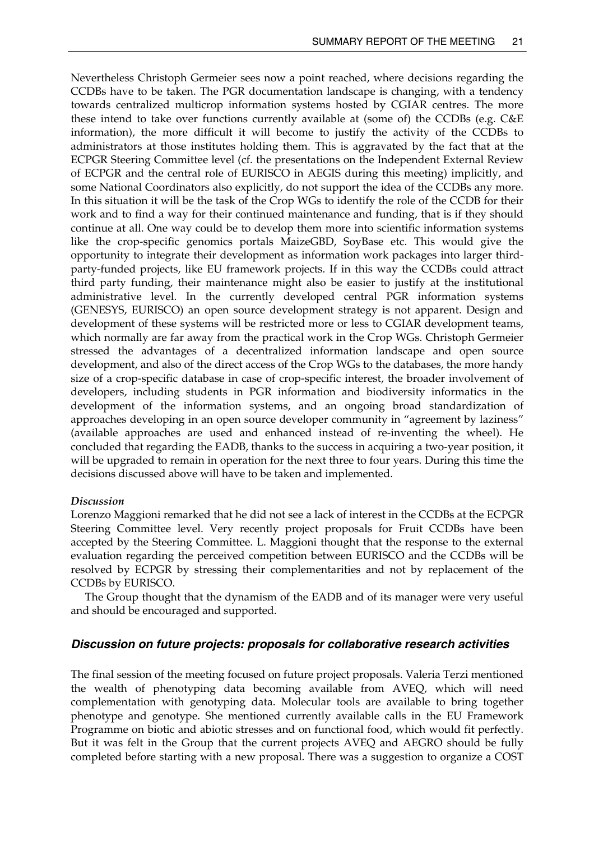<span id="page-26-0"></span>Nevertheless Christoph Germeier sees now a point reached, where decisions regarding the CCDBs have to be taken. The PGR documentation landscape is changing, with a tendency towards centralized multicrop information systems hosted by CGIAR centres. The more these intend to take over functions currently available at (some of) the CCDBs (e.g. C&E information), the more difficult it will become to justify the activity of the CCDBs to administrators at those institutes holding them. This is aggravated by the fact that at the ECPGR Steering Committee level (cf. the presentations on the Independent External Review of ECPGR and the central role of EURISCO in AEGIS during this meeting) implicitly, and some National Coordinators also explicitly, do not support the idea of the CCDBs any more. In this situation it will be the task of the Crop WGs to identify the role of the CCDB for their work and to find a way for their continued maintenance and funding, that is if they should continue at all. One way could be to develop them more into scientific information systems like the crop-specific genomics portals MaizeGBD, SoyBase etc. This would give the opportunity to integrate their development as information work packages into larger thirdparty-funded projects, like EU framework projects. If in this way the CCDBs could attract third party funding, their maintenance might also be easier to justify at the institutional administrative level. In the currently developed central PGR information systems (GENESYS, EURISCO) an open source development strategy is not apparent. Design and development of these systems will be restricted more or less to CGIAR development teams, which normally are far away from the practical work in the Crop WGs. Christoph Germeier stressed the advantages of a decentralized information landscape and open source development, and also of the direct access of the Crop WGs to the databases, the more handy size of a crop-specific database in case of crop-specific interest, the broader involvement of developers, including students in PGR information and biodiversity informatics in the development of the information systems, and an ongoing broad standardization of approaches developing in an open source developer community in "agreement by laziness" (available approaches are used and enhanced instead of re-inventing the wheel). He concluded that regarding the EADB, thanks to the success in acquiring a two-year position, it will be upgraded to remain in operation for the next three to four years. During this time the decisions discussed above will have to be taken and implemented.

#### *Discussion*

Lorenzo Maggioni remarked that he did not see a lack of interest in the CCDBs at the ECPGR Steering Committee level. Very recently project proposals for Fruit CCDBs have been accepted by the Steering Committee. L. Maggioni thought that the response to the external evaluation regarding the perceived competition between EURISCO and the CCDBs will be resolved by ECPGR by stressing their complementarities and not by replacement of the CCDBs by EURISCO.

 The Group thought that the dynamism of the EADB and of its manager were very useful and should be encouraged and supported.

### *Discussion on future projects: proposals for collaborative research activities*

The final session of the meeting focused on future project proposals. Valeria Terzi mentioned the wealth of phenotyping data becoming available from AVEQ, which will need complementation with genotyping data. Molecular tools are available to bring together phenotype and genotype. She mentioned currently available calls in the EU Framework Programme on biotic and abiotic stresses and on functional food, which would fit perfectly. But it was felt in the Group that the current projects AVEQ and AEGRO should be fully completed before starting with a new proposal. There was a suggestion to organize a COST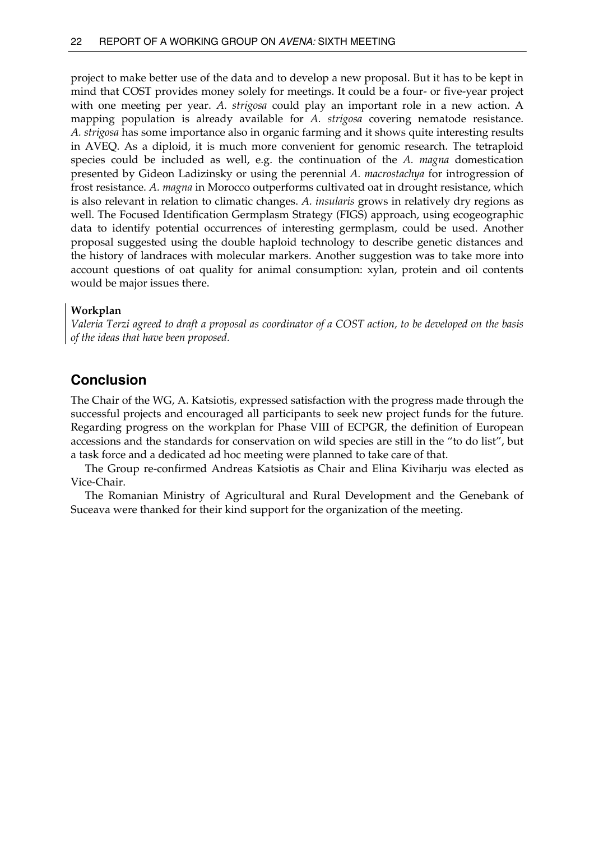<span id="page-27-0"></span>project to make better use of the data and to develop a new proposal. But it has to be kept in mind that COST provides money solely for meetings. It could be a four- or five-year project with one meeting per year. *A. strigosa* could play an important role in a new action. A mapping population is already available for *A. strigosa* covering nematode resistance. *A. strigosa* has some importance also in organic farming and it shows quite interesting results in AVEQ. As a diploid, it is much more convenient for genomic research. The tetraploid species could be included as well, e.g. the continuation of the *A. magna* domestication presented by Gideon Ladizinsky or using the perennial *A. macrostachya* for introgression of frost resistance. *A. magna* in Morocco outperforms cultivated oat in drought resistance, which is also relevant in relation to climatic changes. *A. insularis* grows in relatively dry regions as well. The Focused Identification Germplasm Strategy (FIGS) approach, using ecogeographic data to identify potential occurrences of interesting germplasm, could be used. Another proposal suggested using the double haploid technology to describe genetic distances and the history of landraces with molecular markers. Another suggestion was to take more into account questions of oat quality for animal consumption: xylan, protein and oil contents would be major issues there.

#### **Workplan**

*Valeria Terzi agreed to draft a proposal as coordinator of a COST action, to be developed on the basis of the ideas that have been proposed.* 

## **Conclusion**

The Chair of the WG, A. Katsiotis, expressed satisfaction with the progress made through the successful projects and encouraged all participants to seek new project funds for the future. Regarding progress on the workplan for Phase VIII of ECPGR, the definition of European accessions and the standards for conservation on wild species are still in the "to do list", but a task force and a dedicated ad hoc meeting were planned to take care of that.

 The Group re-confirmed Andreas Katsiotis as Chair and Elina Kiviharju was elected as Vice-Chair.

 The Romanian Ministry of Agricultural and Rural Development and the Genebank of Suceava were thanked for their kind support for the organization of the meeting.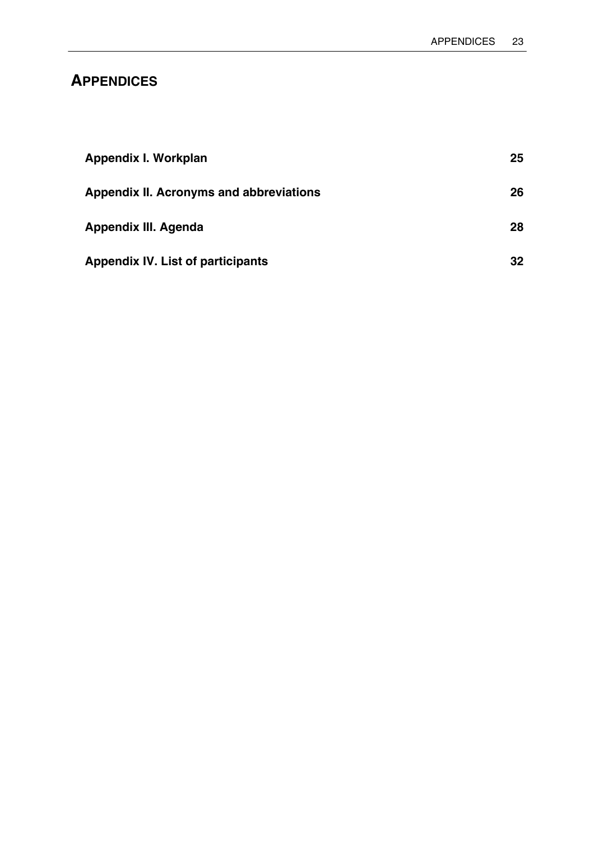# <span id="page-28-0"></span>**APPENDICES**

| Appendix I. Workplan                           | 25              |
|------------------------------------------------|-----------------|
| <b>Appendix II. Acronyms and abbreviations</b> | 26              |
| Appendix III. Agenda                           | 28              |
| <b>Appendix IV. List of participants</b>       | 32 <sub>2</sub> |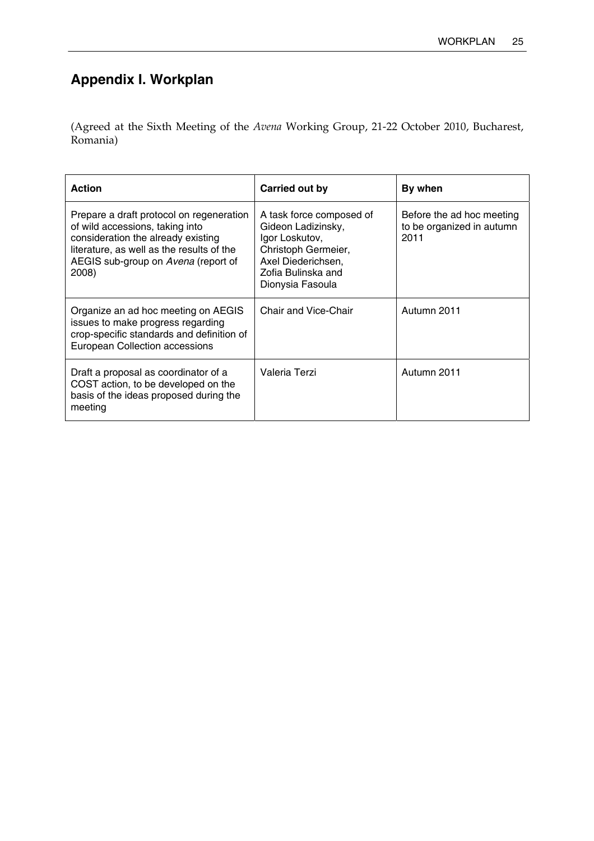# <span id="page-30-0"></span>**Appendix I. Workplan**

(Agreed at the Sixth Meeting of the *Avena* Working Group, 21-22 October 2010, Bucharest, Romania)

| <b>Action</b>                                                                                                                                                                                                  | Carried out by                                                                                                                                          | By when                                                        |
|----------------------------------------------------------------------------------------------------------------------------------------------------------------------------------------------------------------|---------------------------------------------------------------------------------------------------------------------------------------------------------|----------------------------------------------------------------|
| Prepare a draft protocol on regeneration<br>of wild accessions, taking into<br>consideration the already existing<br>literature, as well as the results of the<br>AEGIS sub-group on Avena (report of<br>2008) | A task force composed of<br>Gideon Ladizinsky,<br>Igor Loskutov,<br>Christoph Germeier,<br>Axel Diederichsen,<br>Zofia Bulinska and<br>Dionysia Fasoula | Before the ad hoc meeting<br>to be organized in autumn<br>2011 |
| Organize an ad hoc meeting on AEGIS<br>issues to make progress regarding<br>crop-specific standards and definition of<br><b>European Collection accessions</b>                                                 | Chair and Vice-Chair                                                                                                                                    | Autumn 2011                                                    |
| Draft a proposal as coordinator of a<br>COST action, to be developed on the<br>basis of the ideas proposed during the<br>meeting                                                                               | Valeria Terzi                                                                                                                                           | Autumn 2011                                                    |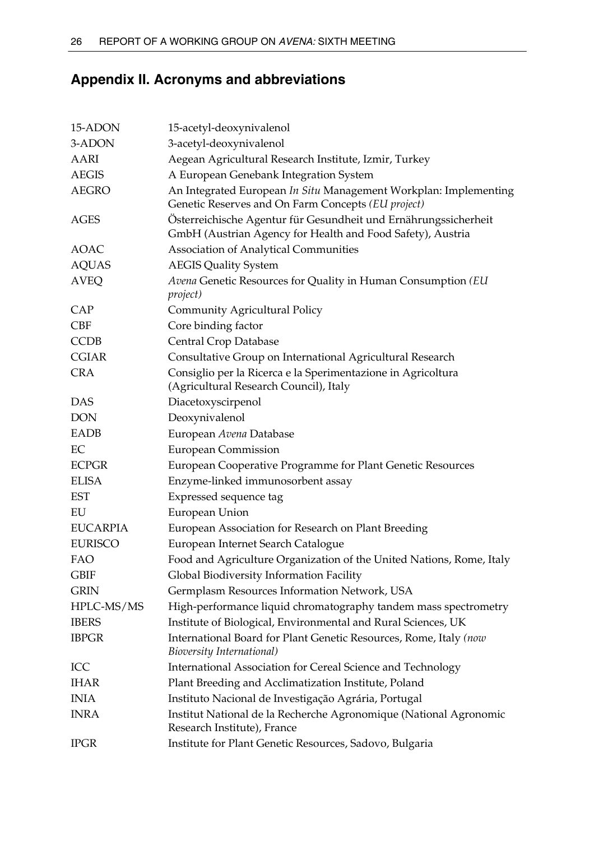# <span id="page-31-0"></span>**Appendix II. Acronyms and abbreviations**

| 15-ADON         | 15-acetyl-deoxynivalenol                                                                                                      |
|-----------------|-------------------------------------------------------------------------------------------------------------------------------|
| 3-ADON          | 3-acetyl-deoxynivalenol                                                                                                       |
| AARI            | Aegean Agricultural Research Institute, Izmir, Turkey                                                                         |
| <b>AEGIS</b>    | A European Genebank Integration System                                                                                        |
| <b>AEGRO</b>    | An Integrated European In Situ Management Workplan: Implementing<br>Genetic Reserves and On Farm Concepts (EU project)        |
| <b>AGES</b>     | Österreichische Agentur für Gesundheit und Ernährungssicherheit<br>GmbH (Austrian Agency for Health and Food Safety), Austria |
| <b>AOAC</b>     | <b>Association of Analytical Communities</b>                                                                                  |
| <b>AQUAS</b>    | <b>AEGIS Quality System</b>                                                                                                   |
| <b>AVEQ</b>     | Avena Genetic Resources for Quality in Human Consumption (EU<br><i>project</i> )                                              |
| <b>CAP</b>      | <b>Community Agricultural Policy</b>                                                                                          |
| <b>CBF</b>      | Core binding factor                                                                                                           |
| <b>CCDB</b>     | Central Crop Database                                                                                                         |
| <b>CGIAR</b>    | Consultative Group on International Agricultural Research                                                                     |
| <b>CRA</b>      | Consiglio per la Ricerca e la Sperimentazione in Agricoltura<br>(Agricultural Research Council), Italy                        |
| <b>DAS</b>      | Diacetoxyscirpenol                                                                                                            |
| <b>DON</b>      | Deoxynivalenol                                                                                                                |
| EADB            | European Avena Database                                                                                                       |
| EC              | <b>European Commission</b>                                                                                                    |
| <b>ECPGR</b>    | European Cooperative Programme for Plant Genetic Resources                                                                    |
| <b>ELISA</b>    | Enzyme-linked immunosorbent assay                                                                                             |
| <b>EST</b>      | Expressed sequence tag                                                                                                        |
| EU              | European Union                                                                                                                |
| <b>EUCARPIA</b> | European Association for Research on Plant Breeding                                                                           |
| <b>EURISCO</b>  | European Internet Search Catalogue                                                                                            |
| FAO             | Food and Agriculture Organization of the United Nations, Rome, Italy                                                          |
| GBIF            | Global Biodiversity Information Facility                                                                                      |
| <b>GRIN</b>     | Germplasm Resources Information Network, USA                                                                                  |
| HPLC-MS/MS      | High-performance liquid chromatography tandem mass spectrometry                                                               |
| <b>IBERS</b>    | Institute of Biological, Environmental and Rural Sciences, UK                                                                 |
| <b>IBPGR</b>    | International Board for Plant Genetic Resources, Rome, Italy (now<br><b>Bioversity International)</b>                         |
| ICC             | International Association for Cereal Science and Technology                                                                   |
| <b>IHAR</b>     | Plant Breeding and Acclimatization Institute, Poland                                                                          |
| <b>INIA</b>     | Instituto Nacional de Investigação Agrária, Portugal                                                                          |
| <b>INRA</b>     | Institut National de la Recherche Agronomique (National Agronomic<br>Research Institute), France                              |
| <b>IPGR</b>     | Institute for Plant Genetic Resources, Sadovo, Bulgaria                                                                       |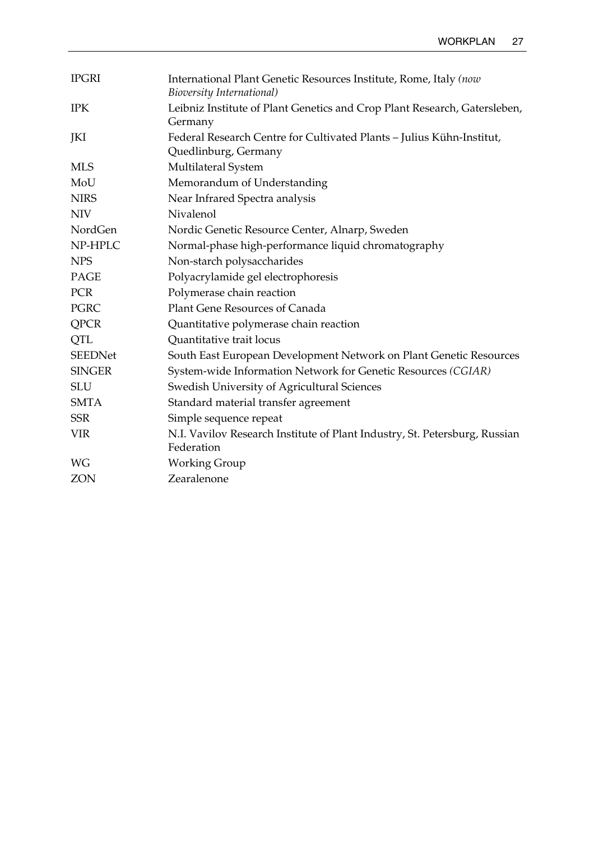| International Plant Genetic Resources Institute, Rome, Italy (now<br>Bioversity International) |
|------------------------------------------------------------------------------------------------|
| Leibniz Institute of Plant Genetics and Crop Plant Research, Gatersleben,<br>Germany           |
| Federal Research Centre for Cultivated Plants - Julius Kühn-Institut,<br>Quedlinburg, Germany  |
| Multilateral System                                                                            |
| Memorandum of Understanding                                                                    |
| Near Infrared Spectra analysis                                                                 |
| Nivalenol                                                                                      |
| Nordic Genetic Resource Center, Alnarp, Sweden                                                 |
| Normal-phase high-performance liquid chromatography                                            |
| Non-starch polysaccharides                                                                     |
| Polyacrylamide gel electrophoresis                                                             |
| Polymerase chain reaction                                                                      |
| Plant Gene Resources of Canada                                                                 |
| Quantitative polymerase chain reaction                                                         |
| Quantitative trait locus                                                                       |
| South East European Development Network on Plant Genetic Resources                             |
| System-wide Information Network for Genetic Resources (CGIAR)                                  |
| Swedish University of Agricultural Sciences                                                    |
| Standard material transfer agreement                                                           |
| Simple sequence repeat                                                                         |
| N.I. Vavilov Research Institute of Plant Industry, St. Petersburg, Russian                     |
| Federation                                                                                     |
| <b>Working Group</b>                                                                           |
| Zearalenone                                                                                    |
|                                                                                                |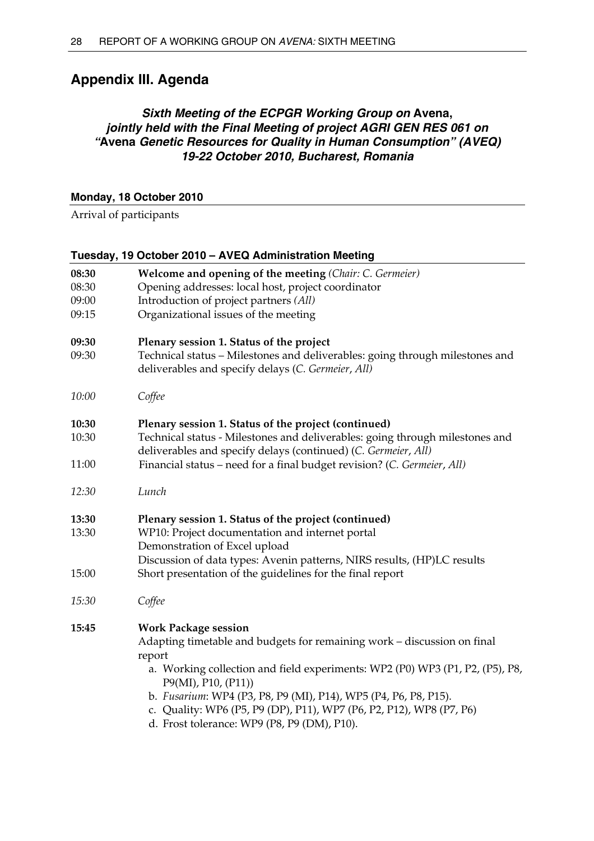# <span id="page-33-0"></span>**Appendix III. Agenda**

## *Sixth Meeting of the ECPGR Working Group on* **Avena,**  *jointly held with the Final Meeting of project AGRI GEN RES 061 on "***Avena** *Genetic Resources for Quality in Human Consumption" (AVEQ) 19-22 October 2010, Bucharest, Romania*

## **Monday, 18 October 2010**

Arrival of participants

|       | Tuesday, 19 October 2010 - AVEQ Administration Meeting                                                                                         |
|-------|------------------------------------------------------------------------------------------------------------------------------------------------|
| 08:30 | Welcome and opening of the meeting (Chair: C. Germeier)                                                                                        |
| 08:30 | Opening addresses: local host, project coordinator                                                                                             |
| 09:00 | Introduction of project partners (All)                                                                                                         |
| 09:15 | Organizational issues of the meeting                                                                                                           |
| 09:30 | Plenary session 1. Status of the project                                                                                                       |
| 09:30 | Technical status - Milestones and deliverables: going through milestones and<br>deliverables and specify delays (C. Germeier, All)             |
| 10:00 | Coffee                                                                                                                                         |
| 10:30 | Plenary session 1. Status of the project (continued)                                                                                           |
| 10:30 | Technical status - Milestones and deliverables: going through milestones and<br>deliverables and specify delays (continued) (C. Germeier, All) |
| 11:00 | Financial status - need for a final budget revision? (C. Germeier, All)                                                                        |
| 12:30 | Lunch                                                                                                                                          |
| 13:30 | Plenary session 1. Status of the project (continued)                                                                                           |
| 13:30 | WP10: Project documentation and internet portal                                                                                                |
|       | Demonstration of Excel upload                                                                                                                  |
|       | Discussion of data types: Avenin patterns, NIRS results, (HP)LC results                                                                        |
| 15:00 | Short presentation of the guidelines for the final report                                                                                      |
| 15:30 | Coffee                                                                                                                                         |

# **15:45 Work Package session**

Adapting timetable and budgets for remaining work – discussion on final report

- a. Working collection and field experiments: WP2 (P0) WP3 (P1, P2, (P5), P8, P9(MI), P10, (P11))
- b. *Fusarium*: WP4 (P3, P8, P9 (MI), P14), WP5 (P4, P6, P8, P15).
- c. Quality: WP6 (P5, P9 (DP), P11), WP7 (P6, P2, P12), WP8 (P7, P6)
- d. Frost tolerance: WP9 (P8, P9 (DM), P10).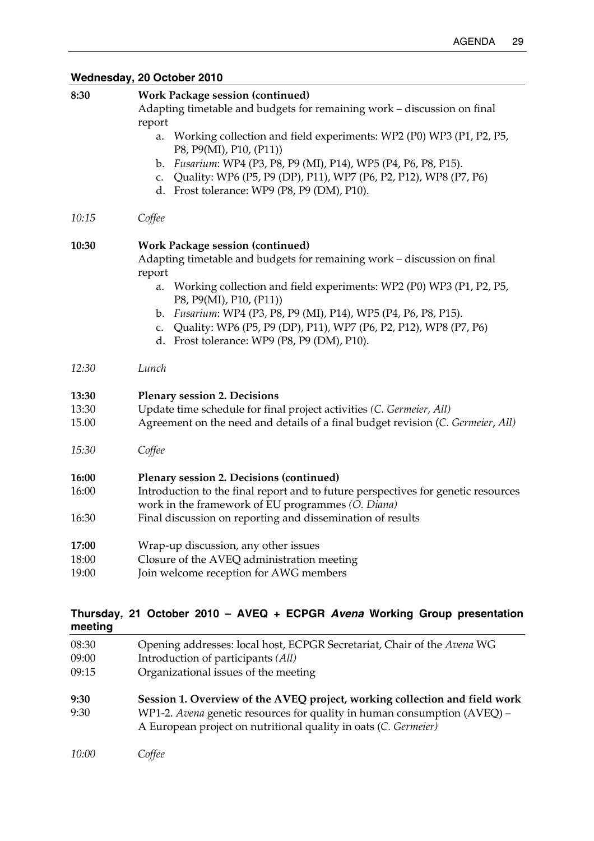# **Wednesday, 20 October 2010**

| 8:30  | <b>Work Package session (continued)</b>                                                                               |
|-------|-----------------------------------------------------------------------------------------------------------------------|
|       | Adapting timetable and budgets for remaining work - discussion on final<br>report                                     |
|       | Working collection and field experiments: WP2 (P0) WP3 (P1, P2, P5,<br>a.<br>P8, P9(MI), P10, (P11))                  |
|       | b. Fusarium: WP4 (P3, P8, P9 (MI), P14), WP5 (P4, P6, P8, P15).                                                       |
|       | c. Quality: WP6 (P5, P9 (DP), P11), WP7 (P6, P2, P12), WP8 (P7, P6)                                                   |
|       | d. Frost tolerance: WP9 (P8, P9 (DM), P10).                                                                           |
| 10:15 | Coffee                                                                                                                |
| 10:30 | <b>Work Package session (continued)</b>                                                                               |
|       | Adapting timetable and budgets for remaining work - discussion on final                                               |
|       | report                                                                                                                |
|       | Working collection and field experiments: WP2 (P0) WP3 (P1, P2, P5,<br>a.<br>P8, P9(MI), P10, (P11))                  |
|       | b. Fusarium: WP4 (P3, P8, P9 (MI), P14), WP5 (P4, P6, P8, P15).                                                       |
|       | Quality: WP6 (P5, P9 (DP), P11), WP7 (P6, P2, P12), WP8 (P7, P6)<br>C.<br>d. Frost tolerance: WP9 (P8, P9 (DM), P10). |
| 12:30 | Lunch                                                                                                                 |
| 13:30 | <b>Plenary session 2. Decisions</b>                                                                                   |
| 13:30 | Update time schedule for final project activities (C. Germeier, All)                                                  |
| 15.00 | Agreement on the need and details of a final budget revision (C. Germeier, All)                                       |
| 15:30 | Coffee                                                                                                                |
| 16:00 | Plenary session 2. Decisions (continued)                                                                              |
| 16:00 | Introduction to the final report and to future perspectives for genetic resources                                     |
|       | work in the framework of EU programmes (O. Diana)                                                                     |
| 16:30 | Final discussion on reporting and dissemination of results                                                            |
| 17:00 | Wrap-up discussion, any other issues                                                                                  |
| 18:00 | Closure of the AVEQ administration meeting                                                                            |
| 19:00 | Join welcome reception for AWG members                                                                                |
|       |                                                                                                                       |

## **Thursday, 21 October 2010 – AVEQ + ECPGR** *Avena* **Working Group presentation meeting**

| 08:30<br>09:00<br>09:15 | Opening addresses: local host, ECPGR Secretariat, Chair of the Avena WG<br>Introduction of participants (All)<br>Organizational issues of the meeting                                                                     |
|-------------------------|---------------------------------------------------------------------------------------------------------------------------------------------------------------------------------------------------------------------------|
| 9:30<br>9:30            | Session 1. Overview of the AVEQ project, working collection and field work<br>WP1-2. Avena genetic resources for quality in human consumption (AVEQ) -<br>A European project on nutritional quality in oats (C. Germeier) |
| 10:00                   | Coffee                                                                                                                                                                                                                    |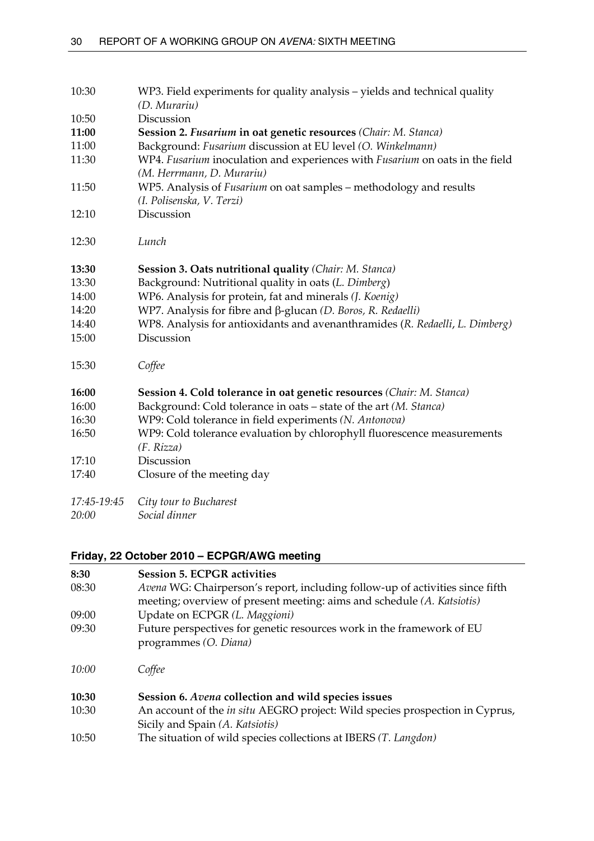| 10:30       | WP3. Field experiments for quality analysis - yields and technical quality<br>(D. Murariu)                |
|-------------|-----------------------------------------------------------------------------------------------------------|
| 10:50       | Discussion                                                                                                |
| 11:00       | <b>Session 2. Fusarium in oat genetic resources (Chair: M. Stanca)</b>                                    |
| 11:00       | Background: Fusarium discussion at EU level (O. Winkelmann)                                               |
| 11:30       | WP4. Fusarium inoculation and experiences with Fusarium on oats in the field<br>(M. Herrmann, D. Murariu) |
| 11:50       | WP5. Analysis of <i>Fusarium</i> on oat samples – methodology and results                                 |
|             | (I. Polisenska, V. Terzi)                                                                                 |
| 12:10       | Discussion                                                                                                |
| 12:30       | Lunch                                                                                                     |
| 13:30       | Session 3. Oats nutritional quality (Chair: M. Stanca)                                                    |
| 13:30       | Background: Nutritional quality in oats (L. Dimberg)                                                      |
| 14:00       | WP6. Analysis for protein, fat and minerals (J. Koenig)                                                   |
| 14:20       | WP7. Analysis for fibre and β-glucan (D. Boros, R. Redaelli)                                              |
| 14:40       | WP8. Analysis for antioxidants and avenanthramides (R. Redaelli, L. Dimberg)                              |
| 15:00       | Discussion                                                                                                |
| 15:30       | Coffee                                                                                                    |
| 16:00       | Session 4. Cold tolerance in oat genetic resources (Chair: M. Stanca)                                     |
| 16:00       | Background: Cold tolerance in oats - state of the art (M. Stanca)                                         |
| 16:30       | WP9: Cold tolerance in field experiments (N. Antonova)                                                    |
| 16:50       | WP9: Cold tolerance evaluation by chlorophyll fluorescence measurements                                   |
|             | (F. Rizza)                                                                                                |
| 17:10       | Discussion                                                                                                |
| 17:40       | Closure of the meeting day                                                                                |
| 17:45-19:45 | City tour to Bucharest                                                                                    |

## *20:00 Social dinner*

# **Friday, 22 October 2010 – ECPGR/AWG meeting**

| 8:30  | <b>Session 5. ECPGR activities</b>                                                             |
|-------|------------------------------------------------------------------------------------------------|
| 08:30 | Avena WG: Chairperson's report, including follow-up of activities since fifth                  |
|       | meeting; overview of present meeting: aims and schedule (A. Katsiotis)                         |
| 09:00 | Update on ECPGR (L. Maggioni)                                                                  |
| 09:30 | Future perspectives for genetic resources work in the framework of EU<br>programmes (O. Diana) |
| 10:00 | Coffee                                                                                         |
| 10:30 | Session 6. Avena collection and wild species issues                                            |
| 10:30 | An account of the <i>in situ</i> AEGRO project: Wild species prospection in Cyprus,            |
|       | Sicily and Spain (A. Katsiotis)                                                                |
| 10:50 | The situation of wild species collections at IBERS (T. Langdon)                                |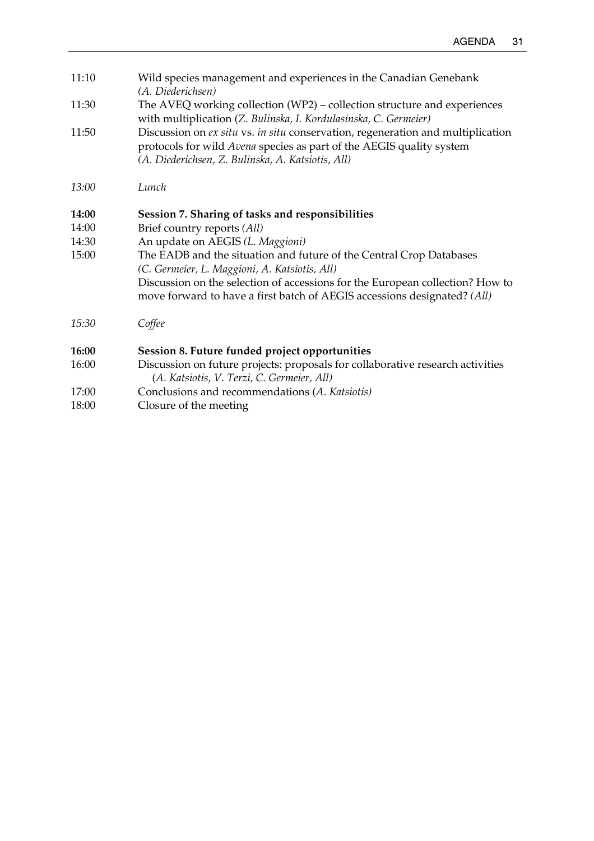| 11:10 | Wild species management and experiences in the Canadian Genebank<br>(A. Diederichsen)                                                                                                                        |
|-------|--------------------------------------------------------------------------------------------------------------------------------------------------------------------------------------------------------------|
| 11:30 | The AVEQ working collection (WP2) - collection structure and experiences<br>with multiplication (Z. Bulinska, I. Kordulasinska, C. Germeier)                                                                 |
| 11:50 | Discussion on ex situ vs. in situ conservation, regeneration and multiplication<br>protocols for wild Avena species as part of the AEGIS quality system<br>(A. Diederichsen, Z. Bulinska, A. Katsiotis, All) |
| 13:00 | Lunch                                                                                                                                                                                                        |
| 14:00 | Session 7. Sharing of tasks and responsibilities                                                                                                                                                             |
| 14:00 | Brief country reports (All)                                                                                                                                                                                  |
| 14:30 | An update on AEGIS (L. Maggioni)                                                                                                                                                                             |
| 15:00 | The EADB and the situation and future of the Central Crop Databases<br>(C. Germeier, L. Maggioni, A. Katsiotis, All)                                                                                         |
|       | Discussion on the selection of accessions for the European collection? How to<br>move forward to have a first batch of AEGIS accessions designated? (All)                                                    |
| 15:30 | Coffee                                                                                                                                                                                                       |
| 16:00 | Session 8. Future funded project opportunities                                                                                                                                                               |
| 16:00 | Discussion on future projects: proposals for collaborative research activities<br>(A. Katsiotis, V. Terzi, C. Germeier, All)                                                                                 |
| 17:00 | Conclusions and recommendations (A. Katsiotis)                                                                                                                                                               |
|       |                                                                                                                                                                                                              |

18:00 Closure of the meeting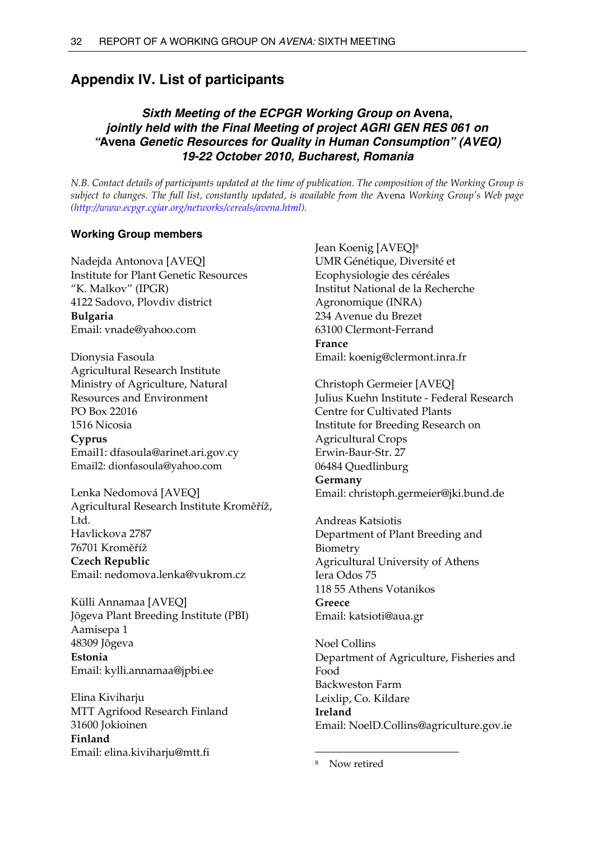# <span id="page-37-0"></span>**Appendix IV. List of participants**

## *Sixth Meeting of the ECPGR Working Group on* **Avena,**  *jointly held with the Final Meeting of project AGRI GEN RES 061 on "***Avena** *Genetic Resources for Quality in Human Consumption" (AVEQ) 19-22 October 2010, Bucharest, Romania*

*N.B. Contact details of participants updated at the time of publication. The composition of the Working Group is subject to changes. The full list, constantly updated, is available from the* Avena *Working Group's Web page [\(http://www.ecpgr.cgiar.org/networks/cereals/avena.html\)](http://www.ecpgr.cgiar.org/networks/cereals/avena.html).* 

## **Working Group members**

Nadejda Antonova [AVEQ] Institute for Plant Genetic Resources "K. Malkov" (IPGR) 4122 Sadovo, Plovdiv district **Bulgaria**  Email: [vnade@yahoo.com](mailto:vnade@yahoo.com)

Dionysia Fasoula Agricultural Research Institute Ministry of Agriculture, Natural Resources and Environment PO Box 22016 1516 Nicosia **Cyprus**  Email1: dfasoula@arinet.ari.gov.cy Email2: dionfasoula@yahoo.com

Lenka Nedomová [AVEQ] Agricultural Research Institute Kroměříž, Ltd. Havlickova 2787 76701 Kroměříž **Czech Republic**  Email: nedomova.lenka@vukrom.cz

Külli Annamaa [AVEQ] Jõgeva Plant Breeding Institute (PBI) Aamisepa 1 48309 Jõgeva **Estonia**  Email: [kylli.annamaa@jpbi.ee](mailto:kylli.annamaa@jpbi.ee)

Elina Kiviharju MTT Agrifood Research Finland 31600 Jokioinen **Finland**  Email: [elina.kiviharju@mtt.fi](mailto:elina.kiviharju@mtt.fi)

Jean Koenig [AVEQ[\]8](#page-37-1) UMR Génétique, Diversité et Ecophysiologie des céréales Institut National de la Recherche Agronomique (INRA) 234 Avenue du Brezet 63100 Clermont-Ferrand **France**  Email: [koenig@clermont.inra.fr](mailto:koenig@clermont.inra.fr)

Christoph Germeier [AVEQ] Julius Kuehn Institute - Federal Research Centre for Cultivated Plants Institute for Breeding Research on Agricultural Crops Erwin-Baur-Str. 27 06484 Quedlinburg **Germany**  Email: [christoph.germeier@jki.bund.de](mailto:christoph.germeier@jki.bund.de)

Andreas Katsiotis Department of Plant Breeding and Biometry Agricultural University of Athens Iera Odos 75 118 55 Athens Votanikos **Greece**  Email: [katsioti@aua.gr](mailto:katsioti@aua.gr)

Noel Collins Department of Agriculture, Fisheries and Food Backweston Farm Leixlip, Co. Kildare **Ireland**  Email: NoelD.Collins@agriculture.gov.ie

 $\overline{a}$ 

<span id="page-37-1"></span>Now retired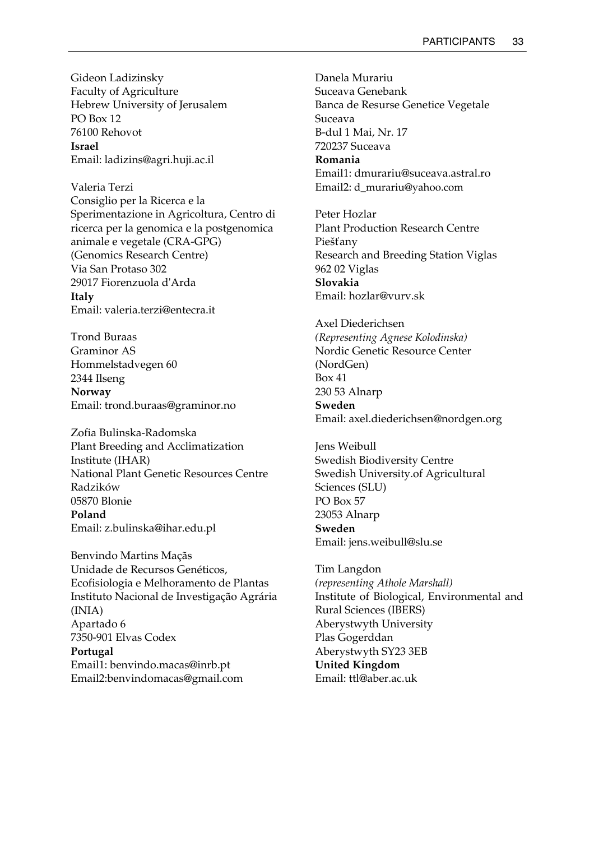Gideon Ladizinsky Faculty of Agriculture Hebrew University of Jerusalem PO Box 12 76100 Rehovot **Israel**  Email: ladizins@agri.huji.ac.il

Valeria Terzi Consiglio per la Ricerca e la Sperimentazione in Agricoltura, Centro di ricerca per la genomica e la postgenomica animale e vegetale (CRA-GPG) (Genomics Research Centre) Via San Protaso 302 29017 Fiorenzuola d'Arda **Italy**  Email: valeria.terzi@entecra.it

Trond Buraas Graminor AS Hommelstadvegen 60 2344 Ilseng **Norway**  Email: trond.buraas@graminor.no

Zofia Bulinska-Radomska Plant Breeding and Acclimatization Institute (IHAR) National Plant Genetic Resources Centre Radzików 05870 Blonie **Poland**  Email: z.bulinska@ihar.edu.pl

Benvindo Martins Maçãs Unidade de Recursos Genéticos, Ecofisiologia e Melhoramento de Plantas Instituto Nacional de Investigação Agrária (INIA) Apartado 6 7350-901 Elvas Codex **Portugal**  Email1: benvindo.macas@inrb.pt Email2:benvindomacas@gmail.com

Danela Murariu Suceava Genebank Banca de Resurse Genetice Vegetale Suceava B-dul 1 Mai, Nr. 17 720237 Suceava **Romania**  Email1: dmurariu@suceava.astral.ro Email2: d\_murariu@yahoo.com

Peter Hozlar Plant Production Research Centre Piešťany Research and Breeding Station Viglas 962 02 Viglas **Slovakia**  Email: hozlar@vurv.sk

Axel Diederichsen *(Representing Agnese Kolodinska)* Nordic Genetic Resource Center (NordGen) Box 41 230 53 Alnarp **Sweden**  Email: axel.diederichsen@nordgen.org

Jens Weibull Swedish Biodiversity Centre Swedish University.of Agricultural Sciences (SLU) PO Box 57 23053 Alnarp **Sweden**  Email: jens.weibull@slu.se

Tim Langdon *(representing Athole Marshall)*  Institute of Biological, Environmental and Rural Sciences (IBERS) Aberystwyth University Plas Gogerddan Aberystwyth SY23 3EB **United Kingdom**  Email: ttl@aber.ac.uk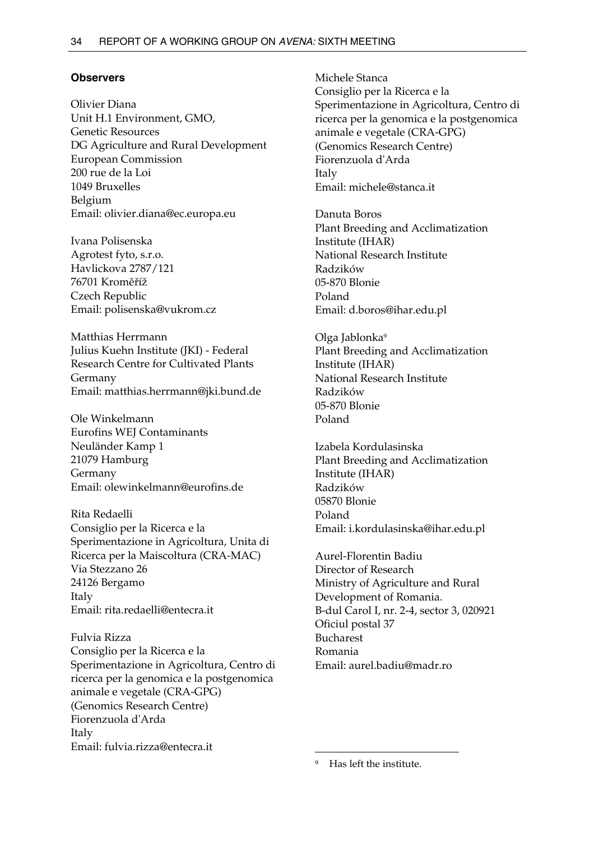## **Observers**

Olivier Diana Unit H.1 Environment, GMO, Genetic Resources DG Agriculture and Rural Development European Commission 200 rue de la Loi 1049 Bruxelles Belgium Email: olivier.diana@ec.europa.eu

Ivana Polisenska Agrotest fyto, s.r.o. Havlickova 2787/121 76701 Kroměříž Czech Republic Email: polisenska@vukrom.cz

Matthias Herrmann Julius Kuehn Institute (JKI) - Federal Research Centre for Cultivated Plants Germany Email: matthias.herrmann@jki.bund.de

Ole Winkelmann Eurofins WEJ Contaminants Neuländer Kamp 1 21079 Hamburg Germany Email: olewinkelmann@eurofins.de

Rita Redaelli Consiglio per la Ricerca e la Sperimentazione in Agricoltura, Unita di Ricerca per la Maiscoltura (CRA-MAC) Via Stezzano 26 24126 Bergamo Italy Email: rita.redaelli@entecra.it

Fulvia Rizza Consiglio per la Ricerca e la Sperimentazione in Agricoltura, Centro di ricerca per la genomica e la postgenomica animale e vegetale (CRA-GPG) (Genomics Research Centre) Fiorenzuola d'Arda Italy Email: fulvia.rizza@entecra.it

Michele Stanca Consiglio per la Ricerca e la Sperimentazione in Agricoltura, Centro di ricerca per la genomica e la postgenomica animale e vegetale (CRA-GPG) (Genomics Research Centre) Fiorenzuola d'Arda Italy Email: michele@stanca.it

Danuta Boros Plant Breeding and Acclimatization Institute (IHAR) National Research Institute Radzików 05-870 Blonie Poland Email: d.boros@ihar.edu.pl

Olga Jablonk[a9](#page-39-0) Plant Breeding and Acclimatization Institute (IHAR) National Research Institute Radzików 05-870 Blonie Poland

Izabela Kordulasinska Plant Breeding and Acclimatization Institute (IHAR) Radzików 05870 Blonie Poland Email: i.kordulasinska@ihar.edu.pl

Aurel-Florentin Badiu Director of Research Ministry of Agriculture and Rural Development of Romania. B-dul Carol I, nr. 2-4, sector 3, 020921 Oficiul postal 37 Bucharest Romania Email: aurel.badiu@madr.ro

<span id="page-39-0"></span>Has left the institute.

 $\overline{a}$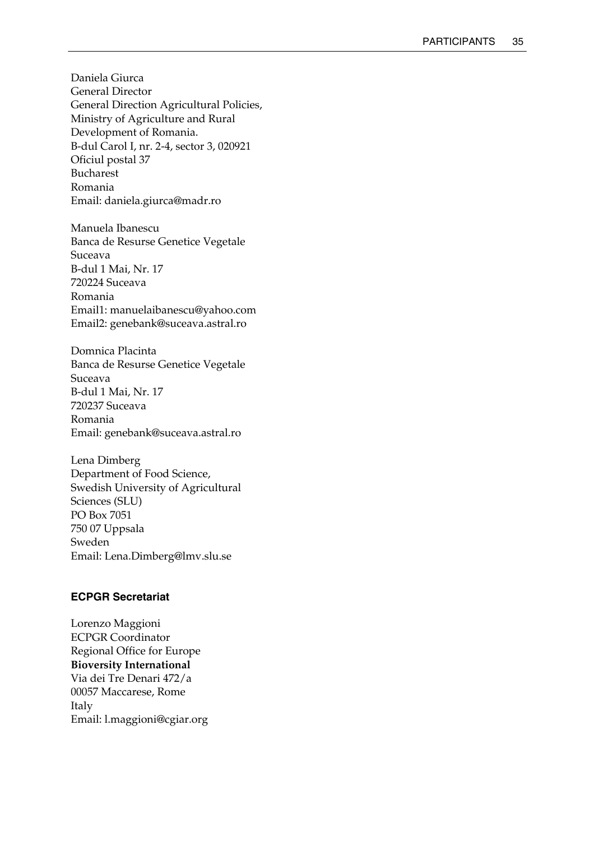Daniela Giurca General Director General Direction Agricultural Policies, Ministry of Agriculture and Rural Development of Romania. B-dul Carol I, nr. 2-4, sector 3, 020921 Oficiul postal 37 Bucharest Romania Email: daniela.giurca@madr.ro

Manuela Ibanescu Banca de Resurse Genetice Vegetale Suceava B-dul 1 Mai, Nr. 17 720224 Suceava Romania Email1: manuelaibanescu@yahoo.com Email2: genebank@suceava.astral.ro

Domnica Placinta Banca de Resurse Genetice Vegetale Suceava B-dul 1 Mai, Nr. 17 720237 Suceava Romania Email: genebank@suceava.astral.ro

Lena Dimberg Department of Food Science, Swedish University of Agricultural Sciences (SLU) PO Box 7051 750 07 Uppsala Sweden Email: [Lena.Dimberg@lmv.slu.se](mailto:Lena.Dimberg@lmv.slu.se)

## **ECPGR Secretariat**

Lorenzo Maggioni ECPGR Coordinator Regional Office for Europe **Bioversity International**  Via dei Tre Denari 472/a 00057 Maccarese, Rome Italy Email: l.maggioni@cgiar.org